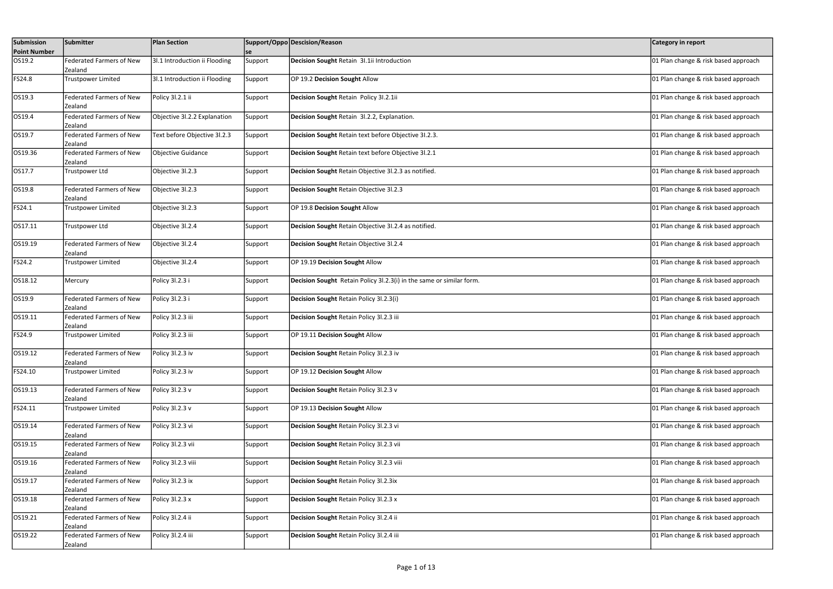| Submission<br><b>Point Number</b> | Submitter                                   | <b>Plan Section</b>           | se      | Support/Oppo Descision/Reason                                        | <b>Category in report</b>            |
|-----------------------------------|---------------------------------------------|-------------------------------|---------|----------------------------------------------------------------------|--------------------------------------|
| OS19.2                            | Federated Farmers of New<br>Zealand         | 3I.1 Introduction ii Flooding | Support | Decision Sought Retain 3I.1ii Introduction                           | 01 Plan change & risk based approach |
| FS24.8                            | Trustpower Limited                          | 3I.1 Introduction ii Flooding | Support | OP 19.2 Decision Sought Allow                                        | 01 Plan change & risk based approach |
| OS19.3                            | <b>Federated Farmers of New</b><br>Zealand  | Policy 3l.2.1 ii              | Support | Decision Sought Retain Policy 31.2.1ii                               | 01 Plan change & risk based approach |
| OS19.4                            | <b>Federated Farmers of New</b><br>Zealand  | Objective 3l.2.2 Explanation  | Support | Decision Sought Retain 31.2.2, Explanation.                          | 01 Plan change & risk based approach |
| OS19.7                            | <b>Federated Farmers of New</b><br> Zealand | Text before Objective 3l.2.3  | Support | Decision Sought Retain text before Objective 31.2.3.                 | 01 Plan change & risk based approach |
| OS19.36                           | <b>Federated Farmers of New</b><br>Zealand  | Objective Guidance            | Support | Decision Sought Retain text before Objective 3I.2.1                  | 01 Plan change & risk based approach |
| OS17.7                            | Trustpower Ltd                              | Objective 31.2.3              | Support | Decision Sought Retain Objective 31.2.3 as notified.                 | 01 Plan change & risk based approach |
| OS19.8                            | Federated Farmers of New<br>Zealand         | Objective 31.2.3              | Support | Decision Sought Retain Objective 31.2.3                              | 01 Plan change & risk based approach |
| FS24.1                            | <b>Trustpower Limited</b>                   | Objective 31.2.3              | Support | OP 19.8 Decision Sought Allow                                        | 01 Plan change & risk based approach |
| OS17.11                           | Trustpower Ltd                              | Objective 3l.2.4              | Support | Decision Sought Retain Objective 31.2.4 as notified.                 | 01 Plan change & risk based approach |
| OS19.19                           | <b>Federated Farmers of New</b><br>Zealand  | Objective 3l.2.4              | Support | Decision Sought Retain Objective 31.2.4                              | 01 Plan change & risk based approach |
| FS24.2                            | <b>Trustpower Limited</b>                   | Objective 31.2.4              | Support | OP 19.19 Decision Sought Allow                                       | 01 Plan change & risk based approach |
| OS18.12                           | Mercury                                     | Policy 3l.2.3 i               | Support | Decision Sought Retain Policy 3l.2.3(i) in the same or similar form. | 01 Plan change & risk based approach |
| OS19.9                            | <b>Federated Farmers of New</b><br>Zealand  | Policy 3l.2.3 i               | Support | Decision Sought Retain Policy 3l.2.3(i)                              | 01 Plan change & risk based approach |
| OS19.11                           | <b>Federated Farmers of New</b><br>Zealand  | Policy 31.2.3 iii             | Support | Decision Sought Retain Policy 31.2.3 iii                             | 01 Plan change & risk based approach |
| FS24.9                            | Trustpower Limited                          | Policy 3l.2.3 iii             | Support | OP 19.11 Decision Sought Allow                                       | 01 Plan change & risk based approach |
| OS19.12                           | Federated Farmers of New<br>Zealand         | Policy 31.2.3 iv              | Support | Decision Sought Retain Policy 31.2.3 iv                              | 01 Plan change & risk based approach |
| FS24.10                           | <b>Trustpower Limited</b>                   | Policy 3l.2.3 iv              | Support | OP 19.12 Decision Sought Allow                                       | 01 Plan change & risk based approach |
| OS19.13                           | Federated Farmers of New<br>Zealand         | Policy 3l.2.3 v               | Support | Decision Sought Retain Policy 31.2.3 v                               | 01 Plan change & risk based approach |
| FS24.11                           | <b>Trustpower Limited</b>                   | Policy 3l.2.3 v               | Support | OP 19.13 Decision Sought Allow                                       | 01 Plan change & risk based approach |
| OS19.14                           | <b>Federated Farmers of New</b><br>Zealand  | Policy 3l.2.3 vi              | Support | Decision Sought Retain Policy 31.2.3 vi                              | 01 Plan change & risk based approach |
| OS19.15                           | Federated Farmers of New<br>IZealand        | Policy 31.2.3 vii             | Support | Decision Sought Retain Policy 31.2.3 vii                             | 01 Plan change & risk based approach |
| OS19.16                           | <b>Federated Farmers of New</b><br>Zealand  | Policy 3l.2.3 viii            | Support | Decision Sought Retain Policy 31.2.3 viii                            | 01 Plan change & risk based approach |
| OS19.17                           | <b>Federated Farmers of New</b><br>Zealand  | Policy 3l.2.3 ix              | Support | Decision Sought Retain Policy 31.2.3ix                               | 01 Plan change & risk based approach |
| OS19.18                           | <b>Federated Farmers of New</b><br>Zealand  | Policy 3l.2.3 x               | Support | Decision Sought Retain Policy 31.2.3 x                               | 01 Plan change & risk based approach |
| OS19.21                           | <b>Federated Farmers of New</b><br>Zealand  | Policy 3l.2.4 ii              | Support | Decision Sought Retain Policy 31.2.4 ii                              | 01 Plan change & risk based approach |
| OS19.22                           | <b>Federated Farmers of New</b><br>Zealand  | Policy 3l.2.4 iii             | Support | Decision Sought Retain Policy 31.2.4 iii                             | 01 Plan change & risk based approach |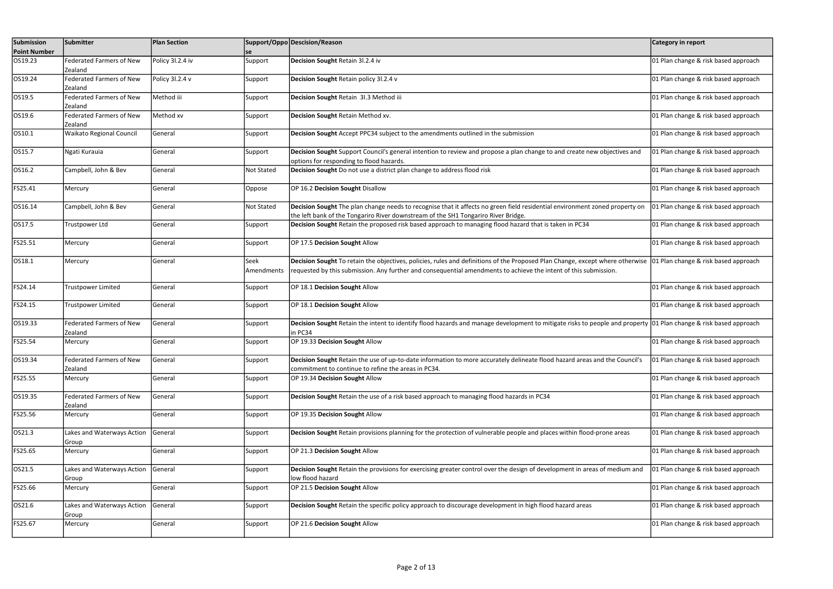| Submission<br><b>Point Number</b> | Submitter                                  | <b>Plan Section</b> | <b>se</b>          | Support/Oppo Descision/Reason                                                                                                                                                                                                                                                          | Category in report                   |
|-----------------------------------|--------------------------------------------|---------------------|--------------------|----------------------------------------------------------------------------------------------------------------------------------------------------------------------------------------------------------------------------------------------------------------------------------------|--------------------------------------|
| OS19.23                           | <b>Federated Farmers of New</b><br>Zealand | Policy 3l.2.4 iv    | Support            | Decision Sought Retain 31.2.4 iv                                                                                                                                                                                                                                                       | 01 Plan change & risk based approach |
| OS19.24                           | <b>Federated Farmers of New</b><br>Zealand | Policy 3l.2.4 v     | Support            | Decision Sought Retain policy 3l.2.4 v                                                                                                                                                                                                                                                 | 01 Plan change & risk based approach |
| OS19.5                            | <b>Federated Farmers of New</b><br>Zealand | Method iii          | Support            | Decision Sought Retain 31.3 Method iii                                                                                                                                                                                                                                                 | 01 Plan change & risk based approach |
| OS19.6                            | <b>Federated Farmers of New</b><br>Zealand | Method xv           | Support            | Decision Sought Retain Method xv.                                                                                                                                                                                                                                                      | 01 Plan change & risk based approach |
| OS10.1                            | Waikato Regional Council                   | General             | Support            | Decision Sought Accept PPC34 subject to the amendments outlined in the submission                                                                                                                                                                                                      | 01 Plan change & risk based approach |
| OS15.7                            | Ngati Kurauia                              | General             | Support            | Decision Sought Support Council's general intention to review and propose a plan change to and create new objectives and<br>options for responding to flood hazards.                                                                                                                   | 01 Plan change & risk based approach |
| OS16.2                            | Campbell, John & Bev                       | General             | Not Stated         | Decision Sought Do not use a district plan change to address flood risk                                                                                                                                                                                                                | 01 Plan change & risk based approach |
| FS25.41                           | Mercury                                    | General             | Oppose             | OP 16.2 Decision Sought Disallow                                                                                                                                                                                                                                                       | 01 Plan change & risk based approach |
| OS16.14                           | Campbell, John & Bev                       | General             | Not Stated         | Decision Sought The plan change needs to recognise that it affects no green field residential environment zoned property on<br>the left bank of the Tongariro River downstream of the SH1 Tongariro River Bridge.                                                                      | 01 Plan change & risk based approach |
| OS17.5                            | Trustpower Ltd                             | General             | Support            | Decision Sought Retain the proposed risk based approach to managing flood hazard that is taken in PC34                                                                                                                                                                                 | 01 Plan change & risk based approach |
| FS25.51                           | Mercury                                    | General             | Support            | OP 17.5 Decision Sought Allow                                                                                                                                                                                                                                                          | 01 Plan change & risk based approach |
| OS18.1                            | Mercury                                    | General             | Seek<br>Amendments | Decision Sought To retain the objectives, policies, rules and definitions of the Proposed Plan Change, except where otherwise 01 Plan change & risk based approach<br>requested by this submission. Any further and consequential amendments to achieve the intent of this submission. |                                      |
| FS24.14                           | Trustpower Limited                         | General             | Support            | OP 18.1 Decision Sought Allow                                                                                                                                                                                                                                                          | 01 Plan change & risk based approach |
| FS24.15                           | Trustpower Limited                         | General             | Support            | OP 18.1 Decision Sought Allow                                                                                                                                                                                                                                                          | 01 Plan change & risk based approach |
| OS19.33                           | <b>Federated Farmers of New</b><br>Zealand | General             | Support            | Decision Sought Retain the intent to identify flood hazards and manage development to mitigate risks to people and property 01 Plan change & risk based approach<br>in PC34                                                                                                            |                                      |
| FS25.54                           | Mercury                                    | General             | Support            | OP 19.33 Decision Sought Allow                                                                                                                                                                                                                                                         | 01 Plan change & risk based approach |
| OS19.34                           | <b>Federated Farmers of New</b><br>Zealand | General             | Support            | Decision Sought Retain the use of up-to-date information to more accurately delineate flood hazard areas and the Council's<br>commitment to continue to refine the areas in PC34.                                                                                                      | 01 Plan change & risk based approach |
| FS25.55                           | Mercury                                    | General             | Support            | OP 19.34 Decision Sought Allow                                                                                                                                                                                                                                                         | 01 Plan change & risk based approach |
| OS19.35                           | <b>Federated Farmers of New</b><br>Zealand | General             | Support            | Decision Sought Retain the use of a risk based approach to managing flood hazards in PC34                                                                                                                                                                                              | 01 Plan change & risk based approach |
| FS25.56                           | Mercury                                    | General             | Support            | OP 19.35 Decision Sought Allow                                                                                                                                                                                                                                                         | 01 Plan change & risk based approach |
| OS21.3                            | Lakes and Waterways Action<br>Group        | General             | Support            | Decision Sought Retain provisions planning for the protection of vulnerable people and places within flood-prone areas                                                                                                                                                                 | 01 Plan change & risk based approach |
| FS25.65                           | Mercury                                    | General             | Support            | OP 21.3 Decision Sought Allow                                                                                                                                                                                                                                                          | 01 Plan change & risk based approach |
| OS21.5                            | Lakes and Waterways Action<br>Group        | General             | Support            | Decision Sought Retain the provisions for exercising greater control over the design of development in areas of medium and<br>low flood hazard                                                                                                                                         | 01 Plan change & risk based approach |
| FS25.66                           | Mercury                                    | General             | Support            | OP 21.5 Decision Sought Allow                                                                                                                                                                                                                                                          | 01 Plan change & risk based approach |
| OS21.6                            | Lakes and Waterways Action<br>Group        | General             | Support            | Decision Sought Retain the specific policy approach to discourage development in high flood hazard areas                                                                                                                                                                               | 01 Plan change & risk based approach |
| FS25.67                           | Mercury                                    | General             | Support            | OP 21.6 Decision Sought Allow                                                                                                                                                                                                                                                          | 01 Plan change & risk based approach |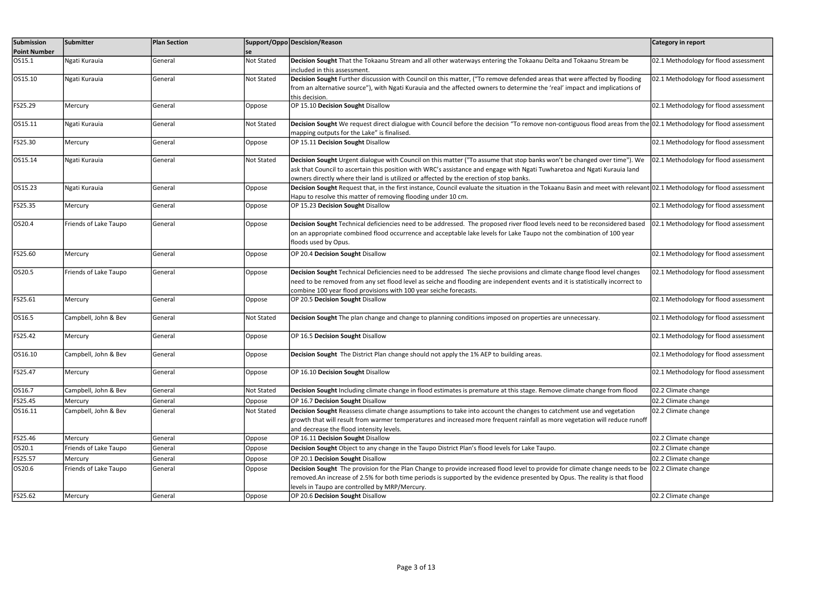| Submission          | Submitter             | <b>Plan Section</b> |                   | Support/Oppo Descision/Reason                                                                                                                                                                                                                                                                                                                    | Category in report                    |
|---------------------|-----------------------|---------------------|-------------------|--------------------------------------------------------------------------------------------------------------------------------------------------------------------------------------------------------------------------------------------------------------------------------------------------------------------------------------------------|---------------------------------------|
| <b>Point Number</b> |                       |                     | lse               |                                                                                                                                                                                                                                                                                                                                                  |                                       |
| OS15.1              | Ngati Kurauia         | General             | Not Stated        | Decision Sought That the Tokaanu Stream and all other waterways entering the Tokaanu Delta and Tokaanu Stream be<br>included in this assessment.                                                                                                                                                                                                 | 02.1 Methodology for flood assessment |
| OS15.10             | Ngati Kurauia         | General             | <b>Not Stated</b> | Decision Sought Further discussion with Council on this matter, ("To remove defended areas that were affected by flooding<br>from an alternative source"), with Ngati Kurauia and the affected owners to determine the 'real' impact and implications of<br>this decision.                                                                       | 02.1 Methodology for flood assessment |
| FS25.29             | Mercury               | General             | Oppose            | OP 15.10 Decision Sought Disallow                                                                                                                                                                                                                                                                                                                | 02.1 Methodology for flood assessment |
| OS15.11             | Ngati Kurauia         | General             | Not Stated        | Decision Sought We request direct dialogue with Council before the decision "To remove non-contiguous flood areas from the 02.1 Methodology for flood assessment<br>mapping outputs for the Lake" is finalised.                                                                                                                                  |                                       |
| FS25.30             | Mercury               | General             | Oppose            | OP 15.11 Decision Sought Disallow                                                                                                                                                                                                                                                                                                                | 02.1 Methodology for flood assessment |
| OS15.14             | Ngati Kurauia         | General             | <b>Not Stated</b> | Decision Sought Urgent dialogue with Council on this matter ("To assume that stop banks won't be changed over time"). We<br>ask that Council to ascertain this position with WRC's assistance and engage with Ngati Tuwharetoa and Ngati Kurauia land<br>owners directly where their land is utilized or affected by the erection of stop banks. | 02.1 Methodology for flood assessment |
| OS15.23             | Ngati Kurauia         | General             | Oppose            | Decision Sought Request that, in the first instance, Council evaluate the situation in the Tokaanu Basin and meet with relevant 02.1 Methodology for flood assessment<br>Hapu to resolve this matter of removing flooding under 10 cm.                                                                                                           |                                       |
| FS25.35             | Mercury               | General             | Oppose            | OP 15.23 Decision Sought Disallow                                                                                                                                                                                                                                                                                                                | 02.1 Methodology for flood assessment |
| OS20.4              | Friends of Lake Taupo | General             | Oppose            | Decision Sought Technical deficiencies need to be addressed. The proposed river flood levels need to be reconsidered based<br>on an appropriate combined flood occurrence and acceptable lake levels for Lake Taupo not the combination of 100 year<br>floods used by Opus.                                                                      | 02.1 Methodology for flood assessment |
| FS25.60             | Mercury               | General             | Oppose            | OP 20.4 Decision Sought Disallow                                                                                                                                                                                                                                                                                                                 | 02.1 Methodology for flood assessment |
| OS20.5              | Friends of Lake Taupo | General             | Oppose            | Decision Sought Technical Deficiencies need to be addressed The sieche provisions and climate change flood level changes<br>need to be removed from any set flood level as seiche and flooding are independent events and it is statistically incorrect to<br>combine 100 year flood provisions with 100 year seiche forecasts.                  | 02.1 Methodology for flood assessment |
| FS25.61             | Mercury               | General             | Oppose            | OP 20.5 Decision Sought Disallow                                                                                                                                                                                                                                                                                                                 | 02.1 Methodology for flood assessment |
| OS16.5              | Campbell, John & Bev  | General             | Not Stated        | Decision Sought The plan change and change to planning conditions imposed on properties are unnecessary.                                                                                                                                                                                                                                         | 02.1 Methodology for flood assessment |
| FS25.42             | Mercury               | General             | Oppose            | OP 16.5 Decision Sought Disallow                                                                                                                                                                                                                                                                                                                 | 02.1 Methodology for flood assessment |
| OS16.10             | Campbell, John & Bev  | General             | Oppose            | Decision Sought The District Plan change should not apply the 1% AEP to building areas.                                                                                                                                                                                                                                                          | 02.1 Methodology for flood assessment |
| FS25.47             | Mercury               | General             | Oppose            | OP 16.10 Decision Sought Disallow                                                                                                                                                                                                                                                                                                                | 02.1 Methodology for flood assessment |
| OS16.7              | Campbell, John & Bev  | General             | Not Stated        | Decision Sought Including climate change in flood estimates is premature at this stage. Remove climate change from flood                                                                                                                                                                                                                         | 02.2 Climate change                   |
| FS25.45             | Mercury               | General             | Oppose            | OP 16.7 Decision Sought Disallow                                                                                                                                                                                                                                                                                                                 | 02.2 Climate change                   |
| OS16.11             | Campbell, John & Bev  | General             | <b>Not Stated</b> | Decision Sought Reassess climate change assumptions to take into account the changes to catchment use and vegetation<br>growth that will result from warmer temperatures and increased more frequent rainfall as more vegetation will reduce runoff<br>and decrease the flood intensity levels.                                                  | 02.2 Climate change                   |
| FS25.46             | Mercury               | General             | Oppose            | OP 16.11 Decision Sought Disallow                                                                                                                                                                                                                                                                                                                | 02.2 Climate change                   |
| OS20.1              | Friends of Lake Taupo | General             | Oppose            | Decision Sought Object to any change in the Taupo District Plan's flood levels for Lake Taupo.                                                                                                                                                                                                                                                   | 02.2 Climate change                   |
| FS25.57             | Mercury               | General             | Oppose            | OP 20.1 Decision Sought Disallow                                                                                                                                                                                                                                                                                                                 | 02.2 Climate change                   |
| OS20.6              | Friends of Lake Taupo | General             | Oppose            | Decision Sought The provision for the Plan Change to provide increased flood level to provide for climate change needs to be<br>removed.An increase of 2.5% for both time periods is supported by the evidence presented by Opus. The reality is that flood<br>levels in Taupo are controlled by MRP/Mercury.                                    | 02.2 Climate change                   |
| FS25.62             | Mercury               | General             | Oppose            | OP 20.6 Decision Sought Disallow                                                                                                                                                                                                                                                                                                                 | 02.2 Climate change                   |
|                     |                       |                     |                   |                                                                                                                                                                                                                                                                                                                                                  |                                       |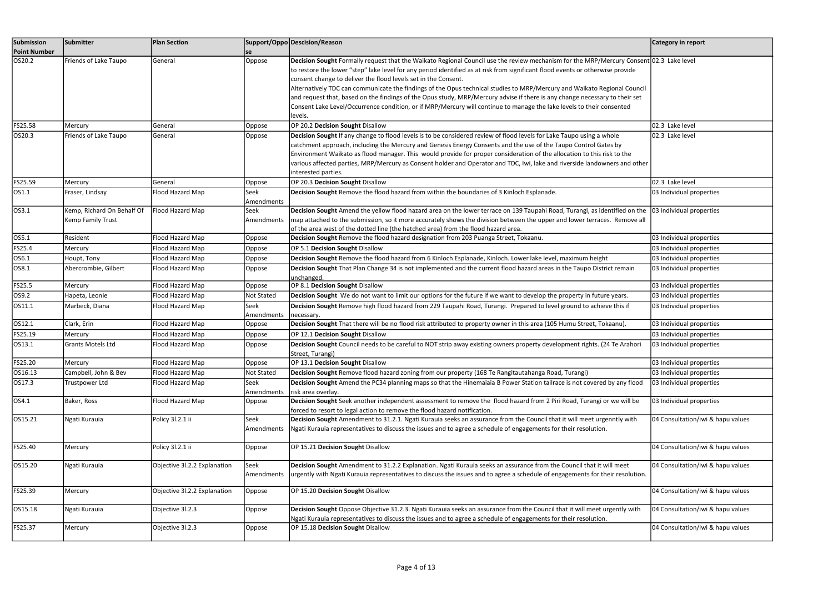| Submission<br><b>Point Number</b> | Submitter                                       | <b>Plan Section</b>          | se                 | Support/Oppo Descision/Reason                                                                                                                                                                                                                                                                                                                                                                                                                                                                                                                                                                                                                                                                                                              | Category in report                |
|-----------------------------------|-------------------------------------------------|------------------------------|--------------------|--------------------------------------------------------------------------------------------------------------------------------------------------------------------------------------------------------------------------------------------------------------------------------------------------------------------------------------------------------------------------------------------------------------------------------------------------------------------------------------------------------------------------------------------------------------------------------------------------------------------------------------------------------------------------------------------------------------------------------------------|-----------------------------------|
| OS20.2                            | Friends of Lake Taupo                           | General                      | Oppose             | Decision Sought Formally request that the Waikato Regional Council use the review mechanism for the MRP/Mercury Consent 02.3 Lake level<br>to restore the lower "step" lake level for any period identified as at risk from significant flood events or otherwise provide<br>consent change to deliver the flood levels set in the Consent.<br>Alternatively TDC can communicate the findings of the Opus technical studies to MRP/Mercury and Waikato Regional Council<br>and request that, based on the findings of the Opus study, MRP/Mercury advise if there is any change necessary to their set<br>Consent Lake Level/Occurrence condition, or if MRP/Mercury will continue to manage the lake levels to their consented<br>levels. |                                   |
| FS25.58                           | Mercury                                         | General                      | Oppose             | OP 20.2 Decision Sought Disallow                                                                                                                                                                                                                                                                                                                                                                                                                                                                                                                                                                                                                                                                                                           | 02.3 Lake level                   |
| OS20.3                            | Friends of Lake Taupo                           | General                      | Oppose             | Decision Sought If any change to flood levels is to be considered review of flood levels for Lake Taupo using a whole<br>catchment approach, including the Mercury and Genesis Energy Consents and the use of the Taupo Control Gates by<br>Environment Waikato as flood manager. This would provide for proper consideration of the allocation to this risk to the<br>various affected parties, MRP/Mercury as Consent holder and Operator and TDC, Iwi, lake and riverside landowners and other<br>interested parties.                                                                                                                                                                                                                   | 02.3 Lake level                   |
| FS25.59                           | Mercury                                         | General                      | Oppose             | OP 20.3 Decision Sought Disallow                                                                                                                                                                                                                                                                                                                                                                                                                                                                                                                                                                                                                                                                                                           | 02.3 Lake level                   |
| OS1.1                             | Fraser, Lindsay                                 | Flood Hazard Map             | Seek<br>Amendments | Decision Sought Remove the flood hazard from within the boundaries of 3 Kinloch Esplanade.                                                                                                                                                                                                                                                                                                                                                                                                                                                                                                                                                                                                                                                 | 03 Individual properties          |
| OS3.1                             | Kemp, Richard On Behalf Of<br>Kemp Family Trust | Flood Hazard Map             | Seek<br>Amendments | Decision Sought Amend the yellow flood hazard area on the lower terrace on 139 Taupahi Road, Turangi, as identified on the<br>map attached to the submission, so it more accurately shows the division between the upper and lower terraces. Remove all<br>of the area west of the dotted line (the hatched area) from the flood hazard area.                                                                                                                                                                                                                                                                                                                                                                                              | 03 Individual properties          |
| OS5.1                             | Resident                                        | Flood Hazard Map             | Oppose             | Decision Sought Remove the flood hazard designation from 203 Puanga Street, Tokaanu.                                                                                                                                                                                                                                                                                                                                                                                                                                                                                                                                                                                                                                                       | 03 Individual properties          |
| FS25.4                            | Mercury                                         | Flood Hazard Map             | Oppose             | OP 5.1 Decision Sought Disallow                                                                                                                                                                                                                                                                                                                                                                                                                                                                                                                                                                                                                                                                                                            | 03 Individual properties          |
| OS6.1                             | Houpt, Tony                                     | Flood Hazard Map             | Oppose             | Decision Sought Remove the flood hazard from 6 Kinloch Esplanade, Kinloch. Lower lake level, maximum height                                                                                                                                                                                                                                                                                                                                                                                                                                                                                                                                                                                                                                | 03 Individual properties          |
| OS8.1                             | Abercrombie, Gilbert                            | Flood Hazard Map             | Oppose             | Decision Sought That Plan Change 34 is not implemented and the current flood hazard areas in the Taupo District remain<br>unchanged.                                                                                                                                                                                                                                                                                                                                                                                                                                                                                                                                                                                                       | 03 Individual properties          |
| FS25.5                            | Mercury                                         | Flood Hazard Map             | Oppose             | OP 8.1 Decision Sought Disallow                                                                                                                                                                                                                                                                                                                                                                                                                                                                                                                                                                                                                                                                                                            | 03 Individual properties          |
| OS9.2                             | Hapeta, Leonie                                  | Flood Hazard Map             | Not Stated         | Decision Sought We do not want to limit our options for the future if we want to develop the property in future years.                                                                                                                                                                                                                                                                                                                                                                                                                                                                                                                                                                                                                     | 03 Individual properties          |
| OS11.1                            | Marbeck, Diana                                  | Flood Hazard Map             | Seek<br>Amendments | Decision Sought Remove high flood hazard from 229 Taupahi Road, Turangi. Prepared to level ground to achieve this if<br>necessary.                                                                                                                                                                                                                                                                                                                                                                                                                                                                                                                                                                                                         | 03 Individual properties          |
| OS12.1                            | Clark, Erin                                     | Flood Hazard Map             | Oppose             | Decision Sought That there will be no flood risk attributed to property owner in this area (105 Humu Street, Tokaanu).                                                                                                                                                                                                                                                                                                                                                                                                                                                                                                                                                                                                                     | 03 Individual properties          |
| FS25.19                           | Mercury                                         | Flood Hazard Map             | Oppose             | OP 12.1 Decision Sought Disallow                                                                                                                                                                                                                                                                                                                                                                                                                                                                                                                                                                                                                                                                                                           | 03 Individual properties          |
| OS13.1                            | Grants Motels Ltd                               | Flood Hazard Map             | Oppose             | Decision Sought Council needs to be careful to NOT strip away existing owners property development rights. (24 Te Arahori<br>Street, Turangi)                                                                                                                                                                                                                                                                                                                                                                                                                                                                                                                                                                                              | 03 Individual properties          |
| FS25.20                           | Mercury                                         | Flood Hazard Map             | Oppose             | OP 13.1 Decision Sought Disallow                                                                                                                                                                                                                                                                                                                                                                                                                                                                                                                                                                                                                                                                                                           | 03 Individual properties          |
| OS16.13                           | Campbell, John & Bev                            | Flood Hazard Map             | Not Stated         | Decision Sought Remove flood hazard zoning from our property (168 Te Rangitautahanga Road, Turangi)                                                                                                                                                                                                                                                                                                                                                                                                                                                                                                                                                                                                                                        | 03 Individual properties          |
| OS17.3                            | Trustpower Ltd                                  | Flood Hazard Map             | Seek<br>Amendments | Decision Sought Amend the PC34 planning maps so that the Hinemaiaia B Power Station tailrace is not covered by any flood<br>risk area overlay.                                                                                                                                                                                                                                                                                                                                                                                                                                                                                                                                                                                             | 03 Individual properties          |
| OS4.1                             | Baker, Ross                                     | Flood Hazard Map             | Oppose             | Decision Sought Seek another independent assessment to remove the flood hazard from 2 Piri Road, Turangi or we will be<br>forced to resort to legal action to remove the flood hazard notification.                                                                                                                                                                                                                                                                                                                                                                                                                                                                                                                                        | 03 Individual properties          |
| OS15.21                           | Ngati Kurauia                                   | Policy 3l.2.1 ii             | Seek<br>Amendments | Decision Sought Amendment to 31.2.1. Ngati Kurauia seeks an assurance from the Council that it will meet urgenntly with<br>Ngati Kurauia representatives to discuss the issues and to agree a schedule of engagements for their resolution.                                                                                                                                                                                                                                                                                                                                                                                                                                                                                                | 04 Consultation/iwi & hapu values |
| FS25.40                           | Mercury                                         | Policy 3l.2.1 ii             | Oppose             | OP 15.21 Decision Sought Disallow                                                                                                                                                                                                                                                                                                                                                                                                                                                                                                                                                                                                                                                                                                          | 04 Consultation/iwi & hapu values |
| OS15.20                           | Ngati Kurauia                                   | Objective 3l.2.2 Explanation | Seek<br>Amendments | Decision Sought Amendment to 31.2.2 Explanation. Ngati Kurauia seeks an assurance from the Council that it will meet<br>urgently with Ngati Kurauia representatives to discuss the issues and to agree a schedule of engagements for their resolution.                                                                                                                                                                                                                                                                                                                                                                                                                                                                                     | 04 Consultation/iwi & hapu values |
| FS25.39                           | Mercury                                         | Objective 3l.2.2 Explanation | Oppose             | OP 15.20 Decision Sought Disallow                                                                                                                                                                                                                                                                                                                                                                                                                                                                                                                                                                                                                                                                                                          | 04 Consultation/iwi & hapu values |
| OS15.18                           | Ngati Kurauia                                   | Objective 3l.2.3             | Oppose             | Decision Sought Oppose Objective 31.2.3. Ngati Kurauia seeks an assurance from the Council that it will meet urgently with<br>Ngati Kurauia representatives to discuss the issues and to agree a schedule of engagements for their resolution.                                                                                                                                                                                                                                                                                                                                                                                                                                                                                             | 04 Consultation/iwi & hapu values |
| FS25.37                           | Mercury                                         | Objective 3l.2.3             | Oppose             | OP 15.18 Decision Sought Disallow                                                                                                                                                                                                                                                                                                                                                                                                                                                                                                                                                                                                                                                                                                          | 04 Consultation/iwi & hapu values |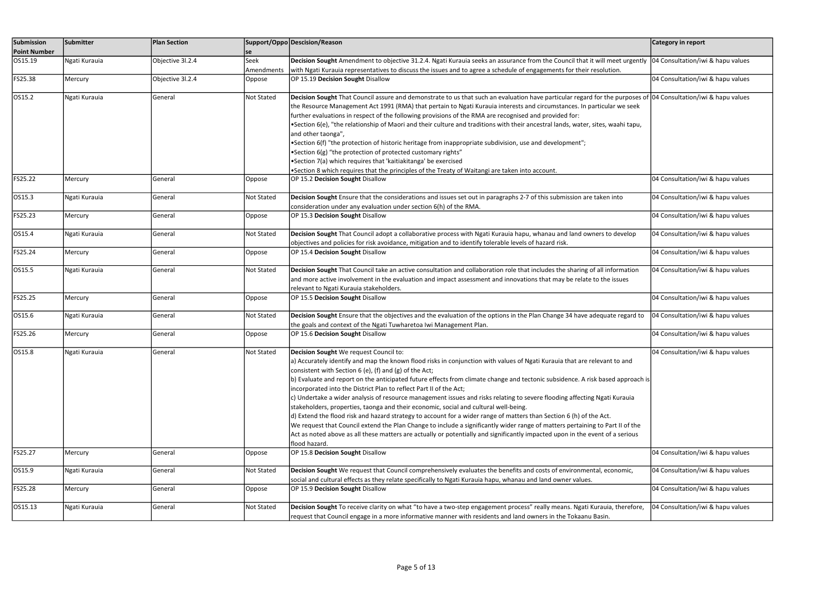| Submission<br><b>Point Number</b> | Submitter     | <b>Plan Section</b> | se                | Support/Oppo Descision/Reason                                                                                                                                                                                                                                                                                                                                                                                                                                                                                                                                                                                                                                                                                                                                                                                                                                                                                                                                                                                                                                       | Category in report                |
|-----------------------------------|---------------|---------------------|-------------------|---------------------------------------------------------------------------------------------------------------------------------------------------------------------------------------------------------------------------------------------------------------------------------------------------------------------------------------------------------------------------------------------------------------------------------------------------------------------------------------------------------------------------------------------------------------------------------------------------------------------------------------------------------------------------------------------------------------------------------------------------------------------------------------------------------------------------------------------------------------------------------------------------------------------------------------------------------------------------------------------------------------------------------------------------------------------|-----------------------------------|
| OS15.19                           | Ngati Kurauia | Objective 3l.2.4    | Seek              | Decision Sought Amendment to objective 31.2.4. Ngati Kurauia seeks an assurance from the Council that it will meet urgently 04 Consultation/iwi & hapu values                                                                                                                                                                                                                                                                                                                                                                                                                                                                                                                                                                                                                                                                                                                                                                                                                                                                                                       |                                   |
|                                   |               |                     | Amendments        | with Ngati Kurauia representatives to discuss the issues and to agree a schedule of engagements for their resolution.                                                                                                                                                                                                                                                                                                                                                                                                                                                                                                                                                                                                                                                                                                                                                                                                                                                                                                                                               |                                   |
| FS25.38                           | Mercury       | Objective 31.2.4    | Oppose            | OP 15.19 Decision Sought Disallow                                                                                                                                                                                                                                                                                                                                                                                                                                                                                                                                                                                                                                                                                                                                                                                                                                                                                                                                                                                                                                   | 04 Consultation/iwi & hapu values |
| OS15.2                            | Ngati Kurauia | General             | Not Stated        | Decision Sought That Council assure and demonstrate to us that such an evaluation have particular regard for the purposes of 04 Consultation/iwi & hapu values<br>the Resource Management Act 1991 (RMA) that pertain to Ngati Kurauia interests and circumstances. In particular we seek<br>further evaluations in respect of the following provisions of the RMA are recognised and provided for:<br>•Section 6(e), "the relationship of Maori and their culture and traditions with their ancestral lands, water, sites, waahi tapu,<br>and other taonga",<br>•Section 6(f) "the protection of historic heritage from inappropriate subdivision, use and development";<br>•Section 6(g) "the protection of protected customary rights"<br>•Section 7(a) which requires that 'kaitiakitanga' be exercised<br>•Section 8 which requires that the principles of the Treaty of Waitangi are taken into account.                                                                                                                                                      |                                   |
| FS25.22                           | Mercury       | General             | Oppose            | OP 15.2 Decision Sought Disallow                                                                                                                                                                                                                                                                                                                                                                                                                                                                                                                                                                                                                                                                                                                                                                                                                                                                                                                                                                                                                                    | 04 Consultation/iwi & hapu values |
| OS15.3                            | Ngati Kurauia | General             | Not Stated        | Decision Sought Ensure that the considerations and issues set out in paragraphs 2-7 of this submission are taken into<br>consideration under any evaluation under section 6(h) of the RMA.                                                                                                                                                                                                                                                                                                                                                                                                                                                                                                                                                                                                                                                                                                                                                                                                                                                                          | 04 Consultation/iwi & hapu values |
| FS25.23                           | Mercury       | General             | Oppose            | OP 15.3 Decision Sought Disallow                                                                                                                                                                                                                                                                                                                                                                                                                                                                                                                                                                                                                                                                                                                                                                                                                                                                                                                                                                                                                                    | 04 Consultation/iwi & hapu values |
| OS15.4                            | Ngati Kurauia | General             | Not Stated        | Decision Sought That Council adopt a collaborative process with Ngati Kurauia hapu, whanau and land owners to develop<br>objectives and policies for risk avoidance, mitigation and to identify tolerable levels of hazard risk.                                                                                                                                                                                                                                                                                                                                                                                                                                                                                                                                                                                                                                                                                                                                                                                                                                    | 04 Consultation/iwi & hapu values |
| FS25.24                           | Mercury       | General             | Oppose            | OP 15.4 Decision Sought Disallow                                                                                                                                                                                                                                                                                                                                                                                                                                                                                                                                                                                                                                                                                                                                                                                                                                                                                                                                                                                                                                    | 04 Consultation/iwi & hapu values |
| OS15.5                            | Ngati Kurauia | General             | <b>Not Stated</b> | Decision Sought That Council take an active consultation and collaboration role that includes the sharing of all information<br>and more active involvement in the evaluation and impact assessment and innovations that may be relate to the issues<br>relevant to Ngati Kurauia stakeholders.                                                                                                                                                                                                                                                                                                                                                                                                                                                                                                                                                                                                                                                                                                                                                                     | 04 Consultation/iwi & hapu values |
| FS25.25                           | Mercury       | General             | Oppose            | OP 15.5 Decision Sought Disallow                                                                                                                                                                                                                                                                                                                                                                                                                                                                                                                                                                                                                                                                                                                                                                                                                                                                                                                                                                                                                                    | 04 Consultation/iwi & hapu values |
| OS15.6                            | Ngati Kurauia | General             | Not Stated        | Decision Sought Ensure that the objectives and the evaluation of the options in the Plan Change 34 have adequate regard to<br>the goals and context of the Ngati Tuwharetoa Iwi Management Plan.                                                                                                                                                                                                                                                                                                                                                                                                                                                                                                                                                                                                                                                                                                                                                                                                                                                                    | 04 Consultation/iwi & hapu values |
| FS25.26                           | Mercury       | General             | Oppose            | OP 15.6 Decision Sought Disallow                                                                                                                                                                                                                                                                                                                                                                                                                                                                                                                                                                                                                                                                                                                                                                                                                                                                                                                                                                                                                                    | 04 Consultation/iwi & hapu values |
| OS15.8                            | Ngati Kurauia | General             | Not Stated        | Decision Sought We request Council to:<br>a) Accurately identify and map the known flood risks in conjunction with values of Ngati Kurauia that are relevant to and<br>consistent with Section 6 (e), (f) and (g) of the Act;<br>b) Evaluate and report on the anticipated future effects from climate change and tectonic subsidence. A risk based approach is<br>ncorporated into the District Plan to reflect Part II of the Act;<br>c) Undertake a wider analysis of resource management issues and risks relating to severe flooding affecting Ngati Kurauia<br>stakeholders, properties, taonga and their economic, social and cultural well-being.<br>d) Extend the flood risk and hazard strategy to account for a wider range of matters than Section 6 (h) of the Act.<br>We request that Council extend the Plan Change to include a significantly wider range of matters pertaining to Part II of the<br>Act as noted above as all these matters are actually or potentially and significantly impacted upon in the event of a serious<br>flood hazard. | 04 Consultation/iwi & hapu values |
| FS25.27                           | Mercury       | General             | Oppose            | OP 15.8 Decision Sought Disallow                                                                                                                                                                                                                                                                                                                                                                                                                                                                                                                                                                                                                                                                                                                                                                                                                                                                                                                                                                                                                                    | 04 Consultation/iwi & hapu values |
| OS15.9                            | Ngati Kurauia | General             | Not Stated        | Decision Sought We request that Council comprehensively evaluates the benefits and costs of environmental, economic,<br>social and cultural effects as they relate specifically to Ngati Kurauia hapu, whanau and land owner values.                                                                                                                                                                                                                                                                                                                                                                                                                                                                                                                                                                                                                                                                                                                                                                                                                                | 04 Consultation/iwi & hapu values |
| FS25.28                           | Mercury       | General             | Oppose            | OP 15.9 Decision Sought Disallow                                                                                                                                                                                                                                                                                                                                                                                                                                                                                                                                                                                                                                                                                                                                                                                                                                                                                                                                                                                                                                    | 04 Consultation/iwi & hapu values |
| OS15.13                           | Ngati Kurauia | General             | Not Stated        | Decision Sought To receive clarity on what "to have a two-step engagement process" really means. Ngati Kurauia, therefore,<br>request that Council engage in a more informative manner with residents and land owners in the Tokaanu Basin.                                                                                                                                                                                                                                                                                                                                                                                                                                                                                                                                                                                                                                                                                                                                                                                                                         | 04 Consultation/iwi & hapu values |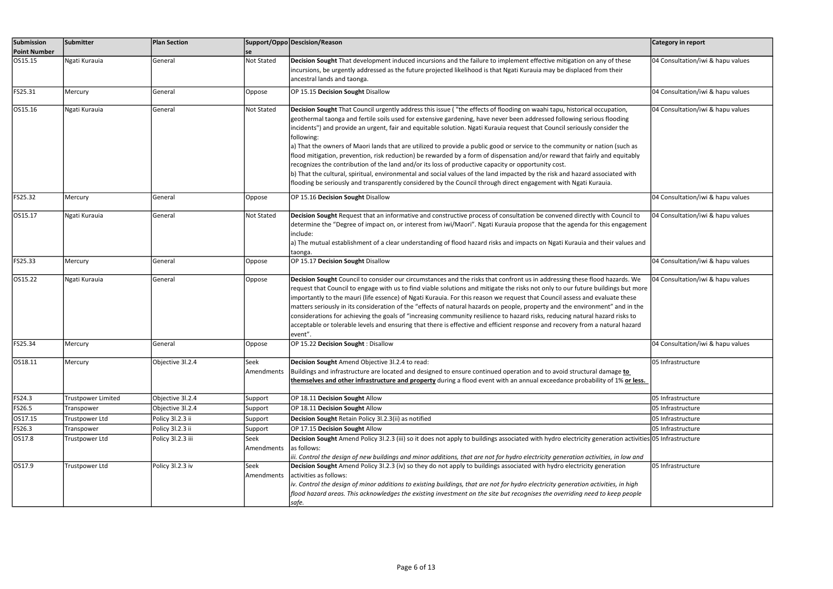| Submission          | Submitter          | <b>Plan Section</b> |            | Support/Oppo Descision/Reason                                                                                                                                                                                                       | Category in report                |
|---------------------|--------------------|---------------------|------------|-------------------------------------------------------------------------------------------------------------------------------------------------------------------------------------------------------------------------------------|-----------------------------------|
| <b>Point Number</b> |                    |                     | lse        |                                                                                                                                                                                                                                     |                                   |
| OS15.15             | Ngati Kurauia      | General             | Not Stated | Decision Sought That development induced incursions and the failure to implement effective mitigation on any of these                                                                                                               | 04 Consultation/iwi & hapu values |
|                     |                    |                     |            | incursions, be urgently addressed as the future projected likelihood is that Ngati Kurauia may be displaced from their                                                                                                              |                                   |
|                     |                    |                     |            | ancestral lands and taonga.                                                                                                                                                                                                         |                                   |
| FS25.31             | Mercury            | General             | Oppose     | OP 15.15 Decision Sought Disallow                                                                                                                                                                                                   | 04 Consultation/iwi & hapu values |
| OS15.16             | Ngati Kurauia      | General             | Not Stated | Decision Sought That Council urgently address this issue ("the effects of flooding on waahi tapu, historical occupation,                                                                                                            | 04 Consultation/iwi & hapu values |
|                     |                    |                     |            | geothermal taonga and fertile soils used for extensive gardening, have never been addressed following serious flooding                                                                                                              |                                   |
|                     |                    |                     |            | incidents") and provide an urgent, fair and equitable solution. Ngati Kurauia request that Council seriously consider the                                                                                                           |                                   |
|                     |                    |                     |            | following:                                                                                                                                                                                                                          |                                   |
|                     |                    |                     |            | a) That the owners of Maori lands that are utilized to provide a public good or service to the community or nation (such as                                                                                                         |                                   |
|                     |                    |                     |            | flood mitigation, prevention, risk reduction) be rewarded by a form of dispensation and/or reward that fairly and equitably                                                                                                         |                                   |
|                     |                    |                     |            | recognizes the contribution of the land and/or its loss of productive capacity or opportunity cost.<br>b) That the cultural, spiritual, environmental and social values of the land impacted by the risk and hazard associated with |                                   |
|                     |                    |                     |            | flooding be seriously and transparently considered by the Council through direct engagement with Ngati Kurauia.                                                                                                                     |                                   |
|                     |                    |                     |            |                                                                                                                                                                                                                                     |                                   |
| FS25.32             | Mercury            | General             | Oppose     | OP 15.16 Decision Sought Disallow                                                                                                                                                                                                   | 04 Consultation/iwi & hapu values |
| OS15.17             | Ngati Kurauia      | General             | Not Stated | Decision Sought Request that an informative and constructive process of consultation be convened directly with Council to                                                                                                           | 04 Consultation/iwi & hapu values |
|                     |                    |                     |            | determine the "Degree of impact on, or interest from iwi/Maori". Ngati Kurauia propose that the agenda for this engagement                                                                                                          |                                   |
|                     |                    |                     |            | include:                                                                                                                                                                                                                            |                                   |
|                     |                    |                     |            | a) The mutual establishment of a clear understanding of flood hazard risks and impacts on Ngati Kurauia and their values and                                                                                                        |                                   |
|                     |                    |                     |            | taonga.                                                                                                                                                                                                                             |                                   |
| FS25.33             | Mercury            | General             | Oppose     | OP 15.17 Decision Sought Disallow                                                                                                                                                                                                   | 04 Consultation/iwi & hapu values |
| OS15.22             | Ngati Kurauia      | General             | Oppose     | Decision Sought Council to consider our circumstances and the risks that confront us in addressing these flood hazards. We                                                                                                          | 04 Consultation/iwi & hapu values |
|                     |                    |                     |            | request that Council to engage with us to find viable solutions and mitigate the risks not only to our future buildings but more                                                                                                    |                                   |
|                     |                    |                     |            | importantly to the mauri (life essence) of Ngati Kurauia. For this reason we request that Council assess and evaluate these                                                                                                         |                                   |
|                     |                    |                     |            | matters seriously in its consideration of the "effects of natural hazards on people, property and the environment" and in the                                                                                                       |                                   |
|                     |                    |                     |            | considerations for achieving the goals of "increasing community resilience to hazard risks, reducing natural hazard risks to                                                                                                        |                                   |
|                     |                    |                     |            | acceptable or tolerable levels and ensuring that there is effective and efficient response and recovery from a natural hazard<br>event".                                                                                            |                                   |
| FS25.34             | Mercury            | General             | Oppose     | OP 15.22 Decision Sought: Disallow                                                                                                                                                                                                  | 04 Consultation/iwi & hapu values |
|                     |                    |                     |            |                                                                                                                                                                                                                                     |                                   |
| OS18.11             | Mercury            | Objective 3l.2.4    | Seek       | Decision Sought Amend Objective 31.2.4 to read:                                                                                                                                                                                     | 05 Infrastructure                 |
|                     |                    |                     | Amendments | Buildings and infrastructure are located and designed to ensure continued operation and to avoid structural damage to                                                                                                               |                                   |
|                     |                    |                     |            | themselves and other infrastructure and property during a flood event with an annual exceedance probability of 1% or less.                                                                                                          |                                   |
| FS24.3              | Trustpower Limited | Objective 3l.2.4    | Support    | OP 18.11 Decision Sought Allow                                                                                                                                                                                                      | 05 Infrastructure                 |
| FS26.5              | Transpower         | Objective 31.2.4    | Support    | OP 18.11 Decision Sought Allow                                                                                                                                                                                                      | 05 Infrastructure                 |
| OS17.15             | Trustpower Ltd     | Policy 3l.2.3 ii    | Support    | Decision Sought Retain Policy 3l.2.3(ii) as notified                                                                                                                                                                                | 05 Infrastructure                 |
| FS26.3              | Transpower         | Policy 31.2.3 ii    | Support    | OP 17.15 Decision Sought Allow                                                                                                                                                                                                      | 05 Infrastructure                 |
| OS17.8              | Trustpower Ltd     | Policy 31.2.3 iii   | Seek       | Decision Sought Amend Policy 31.2.3 (iii) so it does not apply to buildings associated with hydro electricity generation activities 05 Infrastructure                                                                               |                                   |
|                     |                    |                     | Amendments | as follows:                                                                                                                                                                                                                         |                                   |
|                     |                    |                     |            | iii. Control the design of new buildings and minor additions, that are not for hydro electricity generation activities, in low and                                                                                                  |                                   |
| OS17.9              | Trustpower Ltd     | Policy 3l.2.3 iv    | Seek       | Decision Sought Amend Policy 31.2.3 (iv) so they do not apply to buildings associated with hydro electricity generation                                                                                                             | 05 Infrastructure                 |
|                     |                    |                     | Amendments | activities as follows:                                                                                                                                                                                                              |                                   |
|                     |                    |                     |            | iv. Control the design of minor additions to existing buildings, that are not for hydro electricity generation activities, in high                                                                                                  |                                   |
|                     |                    |                     |            | flood hazard areas. This acknowledges the existing investment on the site but recognises the overriding need to keep people                                                                                                         |                                   |
|                     |                    |                     |            | safe.                                                                                                                                                                                                                               |                                   |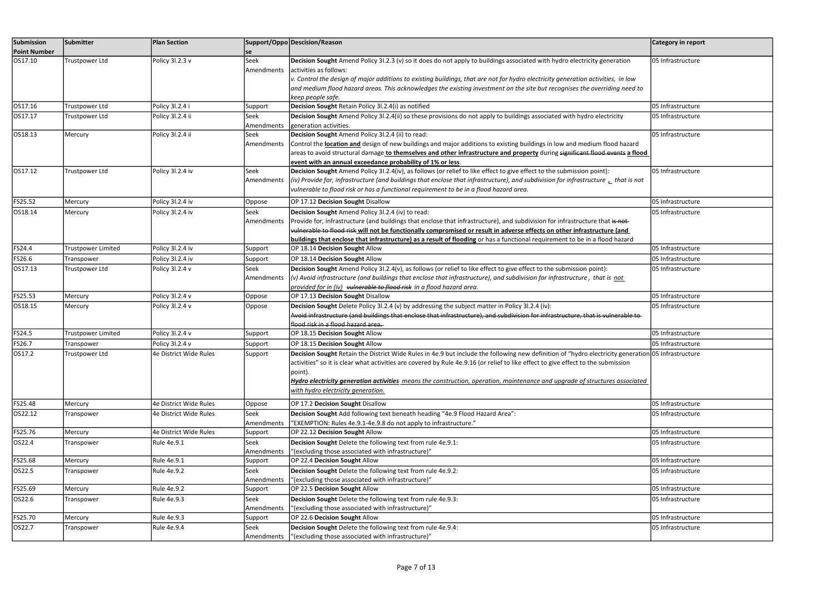| Submission<br><b>Point Number</b> | Submitter                    | <b>Plan Section</b>                       |                       | Support/Oppo Descision/Reason                                                                                                                      | Category in report |
|-----------------------------------|------------------------------|-------------------------------------------|-----------------------|----------------------------------------------------------------------------------------------------------------------------------------------------|--------------------|
| OS17.10                           | Trustpower Ltd               | Policy 3l.2.3 v                           | se<br>Seek            | Decision Sought Amend Policy 31.2.3 (v) so it does do not apply to buildings associated with hydro electricity generation                          | 05 Infrastructure  |
|                                   |                              |                                           | Amendments            | activities as follows:                                                                                                                             |                    |
|                                   |                              |                                           |                       | v. Control the design of major additions to existing buildings, that are not for hydro electricity generation activities, in low                   |                    |
|                                   |                              |                                           |                       | and medium flood hazard areas. This acknowledges the existing investment on the site but recognises the overriding need to                         |                    |
|                                   |                              |                                           |                       | keep people safe.                                                                                                                                  |                    |
| OS17.16                           | Trustpower Ltd               | Policy 3l.2.4 i                           | Support               | Decision Sought Retain Policy 31.2.4(i) as notified                                                                                                | 05 Infrastructure  |
| OS17.17                           | Trustpower Ltd               | Policy 3l.2.4 ii                          | Seek                  | Decision Sought Amend Policy 31.2.4(ii) so these provisions do not apply to buildings associated with hydro electricity                            | 05 Infrastructure  |
|                                   |                              |                                           | Amendments            | generation activities.                                                                                                                             |                    |
| OS18.13                           | Mercury                      | Policy 3l.2.4 ii                          | Seek                  | Decision Sought Amend Policy 31.2.4 (ii) to read:                                                                                                  | 05 Infrastructure  |
|                                   |                              |                                           | Amendments            | Control the location and design of new buildings and major additions to existing buildings in low and medium flood hazard                          |                    |
|                                   |                              |                                           |                       | areas to avoid structural damage to themselves and other infrastructure and property during significant flood events a flood                       |                    |
|                                   |                              |                                           |                       | event with an annual exceedance probability of 1% or less.                                                                                         |                    |
| OS17.12                           | Trustpower Ltd               | Policy 3l.2.4 iv                          | Seek                  | Decision Sought Amend Policy 31.2.4(iv), as follows (or relief to like effect to give effect to the submission point):                             | 05 Infrastructure  |
|                                   |                              |                                           | Amendments            | (iv) Provide for, infrastructure (and buildings that enclose that infrastructure), and subdivision for infrastructure $\epsilon$ that is not       |                    |
|                                   |                              |                                           |                       | vulnerable to flood risk or has a functional requirement to be in a flood hazard area.                                                             |                    |
| FS25.52                           | Mercury                      | Policy 3l.2.4 iv                          | Oppose                | OP 17.12 Decision Sought Disallow                                                                                                                  | 05 Infrastructure  |
| OS18.14                           | Mercury                      | Policy 3l.2.4 iv                          | Seek                  | Decision Sought Amend Policy 31.2.4 (iv) to read:                                                                                                  | 05 Infrastructure  |
|                                   |                              |                                           | Amendments            | Provide for, infrastructure (and buildings that enclose that infrastructure), and subdivision for infrastructure that is not                       |                    |
|                                   |                              |                                           |                       | vulnerable to flood risk will not be functionally compromised or result in adverse effects on other infrastructure (and                            |                    |
|                                   |                              |                                           |                       | buildings that enclose that infrastructure) as a result of flooding or has a functional requirement to be in a flood hazard                        |                    |
| FS24.4                            | Trustpower Limited           | Policy 3l.2.4 iv                          | Support               | OP 18.14 Decision Sought Allow                                                                                                                     | 05 Infrastructure  |
| FS26.6                            | Transpower                   | Policy 3l.2.4 iv                          | Support               | OP 18.14 Decision Sought Allow                                                                                                                     | 05 Infrastructure  |
| OS17.13                           | Trustpower Ltd               | Policy 3l.2.4 v                           | Seek                  | Decision Sought Amend Policy 31.2.4(v), as follows (or relief to like effect to give effect to the submission point):                              | 05 Infrastructure  |
|                                   |                              |                                           | Amendments            | (v) Avoid infrastructure (and buildings that enclose that infrastructure), and subdivision for infrastructure, that is not                         |                    |
|                                   |                              |                                           |                       | provided for in (iv) vulnerable to flood risk in a flood hazard area.                                                                              |                    |
| FS25.53                           | Mercury                      | Policy 3l.2.4 v                           | Oppose                | OP 17.13 Decision Sought Disallow                                                                                                                  | 05 Infrastructure  |
| OS18.15                           | Mercury                      | Policy 3l.2.4 v                           | Oppose                | Decision Sought Delete Policy 3l.2.4 (v) by addressing the subject matter in Policy 3l.2.4 (iv):                                                   | 05 Infrastructure  |
|                                   |                              |                                           |                       | Avoid infrastructure (and buildings that enclose that infrastructure), and subdivision for infrastructure, that is vulnerable to-                  |                    |
| FS24.5                            | Trustpower Limited           | Policy 3l.2.4 v                           |                       | flood risk in a flood hazard area.<br>OP 18.15 Decision Sought Allow                                                                               | 05 Infrastructure  |
| FS26.7                            |                              |                                           | Support               | OP 18.15 Decision Sought Allow                                                                                                                     | 05 Infrastructure  |
|                                   | Transpower<br>Trustpower Ltd | Policy 3l.2.4 v<br>4e District Wide Rules | Support               | Decision Sought Retain the District Wide Rules in 4e.9 but include the following new definition of "hydro electricity generation 05 Infrastructure |                    |
| OS17.2                            |                              |                                           | Support               | activities" so it is clear what activities are covered by Rule 4e.9.16 (or relief to like effect to give effect to the submission                  |                    |
|                                   |                              |                                           |                       | point).                                                                                                                                            |                    |
|                                   |                              |                                           |                       | Hydro electricity generation activities means the construction, operation, maintenance and upgrade of structures associated                        |                    |
|                                   |                              |                                           |                       | with hydro electricity generation.                                                                                                                 |                    |
|                                   |                              |                                           |                       |                                                                                                                                                    |                    |
| FS25.48                           | Mercury                      | 4e District Wide Rules                    | Oppose                | OP 17.2 Decision Sought Disallow                                                                                                                   | 05 Infrastructure  |
| OS22.12                           | <b>Transpower</b>            | 4e District Wide Rules                    | Seek                  | Decision Sought Add following text beneath heading "4e.9 Flood Hazard Area":                                                                       | 05 Infrastructure  |
|                                   |                              |                                           | Amendments            | "EXEMPTION: Rules 4e.9.1-4e.9.8 do not apply to infrastructure."                                                                                   |                    |
| FS25.76                           | Mercury                      | 4e District Wide Rules                    | Support               | OP 22.12 Decision Sought Allow                                                                                                                     | 05 Infrastructure  |
| OS22.4                            | Transpower                   | Rule 4e.9.1                               | Seek                  | Decision Sought Delete the following text from rule 4e.9.1:<br>"(excluding those associated with infrastructure)"                                  | 05 Infrastructure  |
| FS25.68                           | Mercury                      | Rule 4e.9.1                               | Amendments<br>Support | OP 22.4 Decision Sought Allow                                                                                                                      | 05 Infrastructure  |
| OS22.5                            |                              | Rule 4e.9.2                               | Seek                  | Decision Sought Delete the following text from rule 4e.9.2:                                                                                        | 05 Infrastructure  |
|                                   | Franspower                   |                                           | Amendments            | "(excluding those associated with infrastructure)"                                                                                                 |                    |
| FS25.69                           | Mercury                      | Rule 4e.9.2                               | Support               | OP 22.5 Decision Sought Allow                                                                                                                      | 05 Infrastructure  |
| OS22.6                            | <b>Franspower</b>            | Rule 4e.9.3                               | Seek                  | Decision Sought Delete the following text from rule 4e.9.3:                                                                                        | 05 Infrastructure  |
|                                   |                              |                                           | Amendments            | "(excluding those associated with infrastructure)"                                                                                                 |                    |
| FS25.70                           | Mercury                      | Rule 4e.9.3                               | Support               | OP 22.6 Decision Sought Allow                                                                                                                      | 05 Infrastructure  |
| OS22.7                            | Transpower                   | Rule 4e.9.4                               | Seek                  | Decision Sought Delete the following text from rule 4e.9.4:                                                                                        | 05 Infrastructure  |
|                                   |                              |                                           | Amendments            | "(excluding those associated with infrastructure)"                                                                                                 |                    |
|                                   |                              |                                           |                       |                                                                                                                                                    |                    |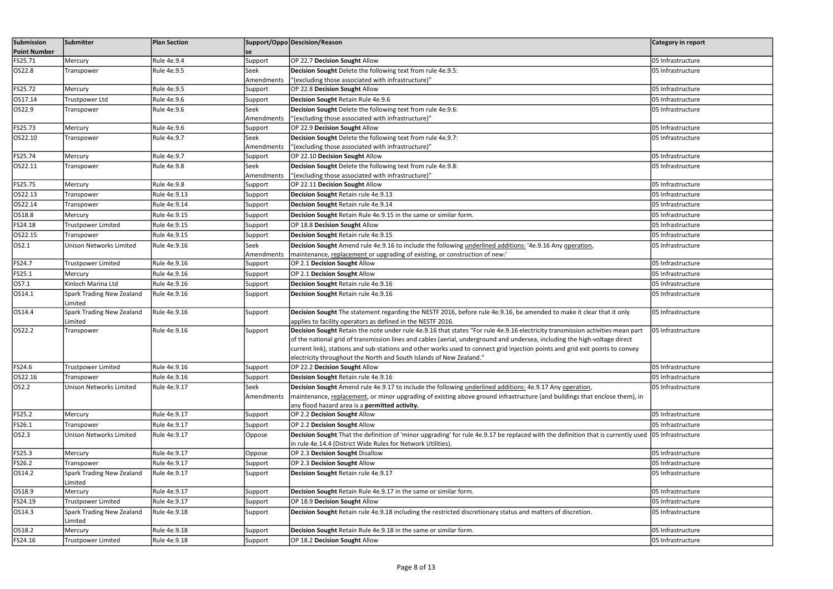| Submission<br><b>Point Number</b> | Submitter                            | <b>Plan Section</b> |            | Support/Oppo Descision/Reason                                                                                                                                                                                      | <b>Category in report</b> |
|-----------------------------------|--------------------------------------|---------------------|------------|--------------------------------------------------------------------------------------------------------------------------------------------------------------------------------------------------------------------|---------------------------|
| FS25.71                           | Mercury                              | Rule 4e.9.4         | Support    | OP 22.7 Decision Sought Allow                                                                                                                                                                                      | 05 Infrastructure         |
| OS22.8                            | Transpower                           | Rule 4e.9.5         | Seek       | Decision Sought Delete the following text from rule 4e.9.5:                                                                                                                                                        | 05 Infrastructure         |
|                                   |                                      |                     | Amendments | "(excluding those associated with infrastructure)"                                                                                                                                                                 |                           |
| FS25.72                           | Mercury                              | <b>Rule 4e.9.5</b>  | Support    | OP 22.8 Decision Sought Allow                                                                                                                                                                                      | 05 Infrastructure         |
| OS17.14                           | Trustpower Ltd                       | Rule 4e.9.6         | Support    | Decision Sought Retain Rule 4e.9.6                                                                                                                                                                                 | 05 Infrastructure         |
| OS22.9                            | Transpower                           | Rule 4e.9.6         | Seek       | Decision Sought Delete the following text from rule 4e.9.6:                                                                                                                                                        | 05 Infrastructure         |
|                                   |                                      |                     | Amendments | "(excluding those associated with infrastructure)"                                                                                                                                                                 |                           |
| FS25.73                           | Mercury                              | Rule 4e.9.6         | Support    | OP 22.9 Decision Sought Allow                                                                                                                                                                                      | 05 Infrastructure         |
| OS22.10                           | Transpower                           | Rule 4e.9.7         | Seek       | Decision Sought Delete the following text from rule 4e.9.7:                                                                                                                                                        | 05 Infrastructure         |
|                                   |                                      |                     | Amendments | "(excluding those associated with infrastructure)"                                                                                                                                                                 |                           |
| FS25.74                           | Mercury                              | Rule 4e.9.7         | Support    | OP 22.10 Decision Sought Allow                                                                                                                                                                                     | 05 Infrastructure         |
| OS22.11                           | Transpower                           | Rule 4e.9.8         | Seek       | Decision Sought Delete the following text from rule 4e.9.8:                                                                                                                                                        | 05 Infrastructure         |
|                                   |                                      |                     | Amendments | "(excluding those associated with infrastructure)"                                                                                                                                                                 |                           |
| FS25.75                           | Mercury                              | Rule 4e.9.8         | Support    | OP 22.11 Decision Sought Allow                                                                                                                                                                                     | 05 Infrastructure         |
| OS22.13                           | Transpower                           | Rule 4e.9.13        | Support    | Decision Sought Retain rule 4e.9.13                                                                                                                                                                                | 05 Infrastructure         |
| OS22.14                           | Transpower                           | Rule 4e.9.14        | Support    | Decision Sought Retain rule 4e.9.14                                                                                                                                                                                | 05 Infrastructure         |
| OS18.8                            | Mercury                              | Rule 4e.9.15        | Support    | Decision Sought Retain Rule 4e.9.15 in the same or similar form.                                                                                                                                                   | 05 Infrastructure         |
| FS24.18                           | <b>Trustpower Limited</b>            | Rule 4e.9.15        | Support    | OP 18.8 Decision Sought Allow                                                                                                                                                                                      | 05 Infrastructure         |
| OS22.15                           | Transpower                           | Rule 4e.9.15        | Support    | Decision Sought Retain rule 4e.9.15                                                                                                                                                                                | 05 Infrastructure         |
| OS2.1                             | Unison Networks Limited              | Rule 4e.9.16        | Seek       | Decision Sought Amend rule 4e.9.16 to include the following underlined additions: '4e.9.16 Any operation,                                                                                                          | 05 Infrastructure         |
|                                   |                                      |                     | Amendments | maintenance, replacement or upgrading of existing, or construction of new:'                                                                                                                                        |                           |
| FS24.7                            | <b>Trustpower Limited</b>            | Rule 4e.9.16        | Support    | OP 2.1 Decision Sought Allow                                                                                                                                                                                       | 05 Infrastructure         |
| FS25.1                            | Mercury                              | Rule 4e.9.16        | Support    | OP 2.1 Decision Sought Allow                                                                                                                                                                                       | 05 Infrastructure         |
| OS7.1                             | Kinloch Marina Ltd                   | Rule 4e.9.16        | Support    | Decision Sought Retain rule 4e.9.16                                                                                                                                                                                | 05 Infrastructure         |
| OS14.1                            | Spark Trading New Zealand            | Rule 4e.9.16        | Support    | Decision Sought Retain rule 4e.9.16                                                                                                                                                                                | 05 Infrastructure         |
| OS14.4                            | Limited<br>Spark Trading New Zealand | Rule 4e.9.16        |            | Decision Sought The statement regarding the NESTF 2016, before rule 4e.9.16, be amended to make it clear that it only                                                                                              | 05 Infrastructure         |
|                                   | Limited                              |                     | Support    | applies to facility operators as defined in the NESTF 2016.                                                                                                                                                        |                           |
| OS22.2                            | Transpower                           | Rule 4e.9.16        | Support    | Decision Sought Retain the note under rule 4e.9.16 that states "For rule 4e.9.16 electricity transmission activities mean part                                                                                     | 05 Infrastructure         |
|                                   |                                      |                     |            | of the national grid of transmission lines and cables (aerial, underground and undersea, including the high-voltage direct                                                                                         |                           |
|                                   |                                      |                     |            | current link), stations and sub-stations and other works used to connect grid injection points and grid exit points to convey                                                                                      |                           |
|                                   |                                      |                     |            | electricity throughout the North and South Islands of New Zealand."                                                                                                                                                |                           |
| FS24.6                            | <b>Trustpower Limited</b>            | Rule 4e.9.16        | Support    | OP 22.2 Decision Sought Allow                                                                                                                                                                                      | 05 Infrastructure         |
| OS22.16                           | Transpower                           | Rule 4e.9.16        | Support    | Decision Sought Retain rule 4e.9.16                                                                                                                                                                                | 05 Infrastructure         |
| OS2.2                             | Unison Networks Limited              | Rule 4e.9.17        | Seek       | Decision Sought Amend rule 4e.9.17 to include the following underlined additions: 4e.9.17 Any operation,                                                                                                           | 05 Infrastructure         |
|                                   |                                      |                     | Amendments | maintenance, replacement, or minor upgrading of existing above ground infrastructure (and buildings that enclose them), in                                                                                         |                           |
|                                   |                                      |                     |            | any flood hazard area is a <b>permitted activity.</b>                                                                                                                                                              |                           |
| FS25.2                            | Mercury                              | Rule 4e.9.17        | Support    | OP 2.2 Decision Sought Allow                                                                                                                                                                                       | 05 Infrastructure         |
| FS26.1                            | Transpower                           | Rule 4e.9.17        | Support    | OP 2.2 Decision Sought Allow                                                                                                                                                                                       | 05 Infrastructure         |
| OS2.3                             | Unison Networks Limited              | Rule 4e.9.17        | Oppose     | Decision Sought That the definition of 'minor upgrading' for rule 4e.9.17 be replaced with the definition that is currently used 05 Infrastructure<br>in rule 4e.14.4 (District Wide Rules for Network Utilities). |                           |
| FS25.3                            | Mercury                              | Rule 4e.9.17        | Oppose     | OP 2.3 Decision Sought Disallow                                                                                                                                                                                    | 05 Infrastructure         |
| FS26.2                            | Transpower                           | Rule 4e.9.17        | Support    | OP 2.3 Decision Sought Allow                                                                                                                                                                                       | 05 Infrastructure         |
| OS14.2                            | Spark Trading New Zealand            | Rule 4e.9.17        | Support    | Decision Sought Retain rule 4e.9.17                                                                                                                                                                                | 05 Infrastructure         |
|                                   | Limited                              |                     |            |                                                                                                                                                                                                                    |                           |
| OS18.9                            | Mercury                              | Rule 4e.9.17        | Support    | Decision Sought Retain Rule 4e.9.17 in the same or similar form.                                                                                                                                                   | 05 Infrastructure         |
| FS24.19                           | <b>Trustpower Limited</b>            | Rule 4e.9.17        | Support    | OP 18.9 Decision Sought Allow                                                                                                                                                                                      | 05 Infrastructure         |
| OS14.3                            | Spark Trading New Zealand            | Rule 4e.9.18        | Support    | Decision Sought Retain rule 4e.9.18 including the restricted discretionary status and matters of discretion.                                                                                                       | 05 Infrastructure         |
|                                   | Limited                              |                     |            |                                                                                                                                                                                                                    |                           |
| OS18.2                            | Mercury                              | Rule 4e.9.18        | Support    | Decision Sought Retain Rule 4e.9.18 in the same or similar form.                                                                                                                                                   | 05 Infrastructure         |
| FS24.16                           | <b>Trustpower Limited</b>            | Rule 4e.9.18        | Support    | OP 18.2 Decision Sought Allow                                                                                                                                                                                      | 05 Infrastructure         |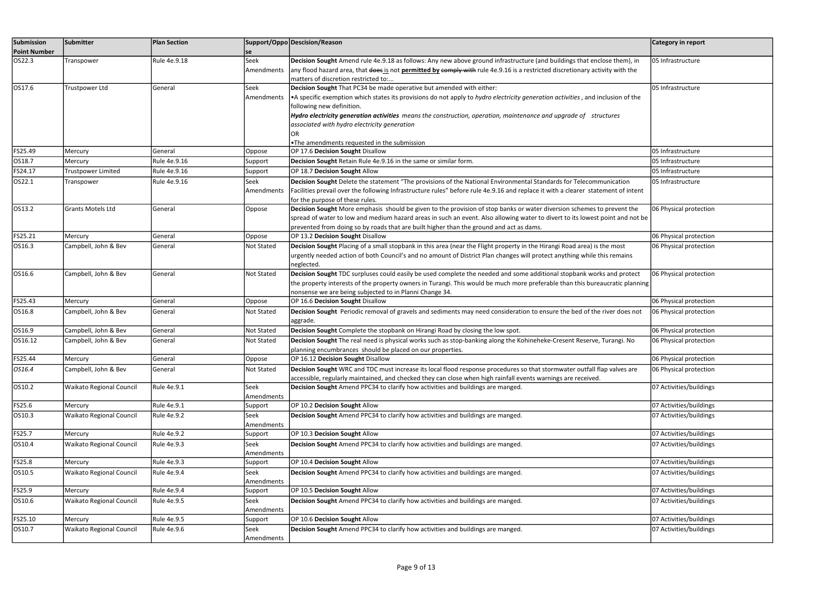| Submission          | Submitter                       | <b>Plan Section</b> |                       | Support/Oppo Descision/Reason                                                                                                                                                                                                             | Category in report      |
|---------------------|---------------------------------|---------------------|-----------------------|-------------------------------------------------------------------------------------------------------------------------------------------------------------------------------------------------------------------------------------------|-------------------------|
| <b>Point Number</b> |                                 |                     | se                    |                                                                                                                                                                                                                                           |                         |
| OS22.3              | Transpower                      | Rule 4e.9.18        | Seek                  | Decision Sought Amend rule 4e.9.18 as follows: Any new above ground infrastructure (and buildings that enclose them), in                                                                                                                  | 05 Infrastructure       |
|                     |                                 |                     | Amendments            | any flood hazard area, that does is not permitted by comply with rule 4e.9.16 is a restricted discretionary activity with the                                                                                                             |                         |
|                     |                                 |                     |                       | matters of discretion restricted to:                                                                                                                                                                                                      |                         |
| OS17.6              | Trustpower Ltd                  | General             | Seek                  | Decision Sought That PC34 be made operative but amended with either:                                                                                                                                                                      | 05 Infrastructure       |
|                     |                                 |                     | Amendments            | •A specific exemption which states its provisions do not apply to hydro electricity generation activities, and inclusion of the<br>following new definition.                                                                              |                         |
|                     |                                 |                     |                       | Hydro electricity generation activities means the construction, operation, maintenance and upgrade of structures                                                                                                                          |                         |
|                     |                                 |                     |                       | associated with hydro electricity generation                                                                                                                                                                                              |                         |
|                     |                                 |                     |                       |                                                                                                                                                                                                                                           |                         |
|                     |                                 |                     |                       | <b>•The amendments requested in the submission</b>                                                                                                                                                                                        |                         |
| FS25.49             | Mercury                         | General             | Oppose                | OP 17.6 Decision Sought Disallow                                                                                                                                                                                                          | 05 Infrastructure       |
| OS18.7              | Mercury                         | Rule 4e.9.16        | Support               | Decision Sought Retain Rule 4e.9.16 in the same or similar form.                                                                                                                                                                          | 05 Infrastructure       |
| FS24.17             | <b>Trustpower Limited</b>       | Rule 4e.9.16        | Support               | OP 18.7 Decision Sought Allow                                                                                                                                                                                                             | 05 Infrastructure       |
| OS22.1              | Transpower                      | Rule 4e.9.16        | Seek                  | Decision Sought Delete the statement "The provisions of the National Environmental Standards for Telecommunication                                                                                                                        | 05 Infrastructure       |
|                     |                                 |                     | Amendments            | Facilities prevail over the following Infrastructure rules" before rule 4e.9.16 and replace it with a clearer statement of intent                                                                                                         |                         |
|                     |                                 |                     |                       | for the purpose of these rules.                                                                                                                                                                                                           |                         |
| OS13.2              | Grants Motels Ltd               | General             | Oppose                | Decision Sought More emphasis should be given to the provision of stop banks or water diversion schemes to prevent the                                                                                                                    | 06 Physical protection  |
|                     |                                 |                     |                       | spread of water to low and medium hazard areas in such an event. Also allowing water to divert to its lowest point and not be<br>prevented from doing so by roads that are built higher than the ground and act as dams.                  |                         |
| FS25.21             | Mercury                         | General             | Oppose                | OP 13.2 Decision Sought Disallow                                                                                                                                                                                                          | 06 Physical protection  |
| OS16.3              | Campbell, John & Bev            | General             | <b>Not Stated</b>     | Decision Sought Placing of a small stopbank in this area (near the Flight property in the Hirangi Road area) is the most                                                                                                                  | 06 Physical protection  |
|                     |                                 |                     |                       | urgently needed action of both Council's and no amount of District Plan changes will protect anything while this remains                                                                                                                  |                         |
|                     |                                 |                     |                       | neglected.                                                                                                                                                                                                                                |                         |
| OS16.6              | Campbell, John & Bev            | General             | Not Stated            | Decision Sought TDC surpluses could easily be used complete the needed and some additional stopbank works and protect                                                                                                                     | 06 Physical protection  |
|                     |                                 |                     |                       | the property interests of the property owners in Turangi. This would be much more preferable than this bureaucratic planning                                                                                                              |                         |
|                     |                                 |                     |                       | nonsense we are being subjected to in Planni Change 34.                                                                                                                                                                                   |                         |
| FS25.43             | Mercury                         | General             | Oppose                | OP 16.6 Decision Sought Disallow                                                                                                                                                                                                          | 06 Physical protection  |
| OS16.8              | Campbell, John & Bev            | General             | Not Stated            | Decision Sought Periodic removal of gravels and sediments may need consideration to ensure the bed of the river does not                                                                                                                  | 06 Physical protection  |
|                     |                                 |                     |                       | aggrade.                                                                                                                                                                                                                                  |                         |
| OS16.9              | Campbell, John & Bev            | General             | Not Stated            | Decision Sought Complete the stopbank on Hirangi Road by closing the low spot.                                                                                                                                                            | 06 Physical protection  |
| OS16.12             | Campbell, John & Bev            | General             | Not Stated            | Decision Sought The real need is physical works such as stop-banking along the Kohineheke-Cresent Reserve, Turangi. No                                                                                                                    | 06 Physical protection  |
| FS25.44             |                                 |                     |                       | planning encumbrances should be placed on our properties.<br>OP 16.12 Decision Sought Disallow                                                                                                                                            |                         |
|                     | Mercury                         | General             | Oppose                |                                                                                                                                                                                                                                           | 06 Physical protection  |
| OS16.4              | Campbell, John & Bev            | General             | <b>Not Stated</b>     | Decision Sought WRC and TDC must increase its local flood response procedures so that stormwater outfall flap valves are<br>accessible, regularly maintained, and checked they can close when high rainfall events warnings are received. | 06 Physical protection  |
| OS10.2              | Waikato Regional Council        | Rule 4e.9.1         | Seek                  | Decision Sought Amend PPC34 to clarify how activities and buildings are manged.                                                                                                                                                           | 07 Activities/buildings |
|                     |                                 |                     | Amendments            |                                                                                                                                                                                                                                           |                         |
| FS25.6              | Mercury                         | Rule 4e.9.1         | Support               | OP 10.2 Decision Sought Allow                                                                                                                                                                                                             | 07 Activities/buildings |
| OS10.3              | <b>Waikato Regional Council</b> | Rule 4e.9.2         | Seek                  | Decision Sought Amend PPC34 to clarify how activities and buildings are manged.                                                                                                                                                           | 07 Activities/buildings |
|                     |                                 |                     | Amendments            |                                                                                                                                                                                                                                           |                         |
| FS25.7              | Mercury                         | <b>Rule 4e.9.2</b>  | Support               | OP 10.3 Decision Sought Allow                                                                                                                                                                                                             | 07 Activities/buildings |
| OS10.4              | <b>Waikato Regional Council</b> | Rule 4e.9.3         | Seek                  | Decision Sought Amend PPC34 to clarify how activities and buildings are manged.                                                                                                                                                           | 07 Activities/buildings |
|                     |                                 |                     | Amendments            |                                                                                                                                                                                                                                           |                         |
| FS25.8              | Mercury                         | Rule 4e.9.3         | Support               | OP 10.4 Decision Sought Allow                                                                                                                                                                                                             | 07 Activities/buildings |
| OS10.5              | <b>Waikato Regional Council</b> | Rule 4e.9.4         | Seek                  | Decision Sought Amend PPC34 to clarify how activities and buildings are manged.                                                                                                                                                           | 07 Activities/buildings |
|                     |                                 |                     | Amendments            |                                                                                                                                                                                                                                           |                         |
| FS25.9              | Mercury                         | Rule 4e.9.4         | Support               | OP 10.5 Decision Sought Allow                                                                                                                                                                                                             | 07 Activities/buildings |
| OS10.6              | Waikato Regional Council        | Rule 4e.9.5         | Seek                  | Decision Sought Amend PPC34 to clarify how activities and buildings are manged.                                                                                                                                                           | 07 Activities/buildings |
| FS25.10             | Mercury                         | Rule 4e.9.5         | Amendments<br>Support | OP 10.6 Decision Sought Allow                                                                                                                                                                                                             | 07 Activities/buildings |
| OS10.7              | Waikato Regional Council        | Rule 4e.9.6         | Seek                  | Decision Sought Amend PPC34 to clarify how activities and buildings are manged.                                                                                                                                                           | 07 Activities/buildings |
|                     |                                 |                     | Amendments            |                                                                                                                                                                                                                                           |                         |
|                     |                                 |                     |                       |                                                                                                                                                                                                                                           |                         |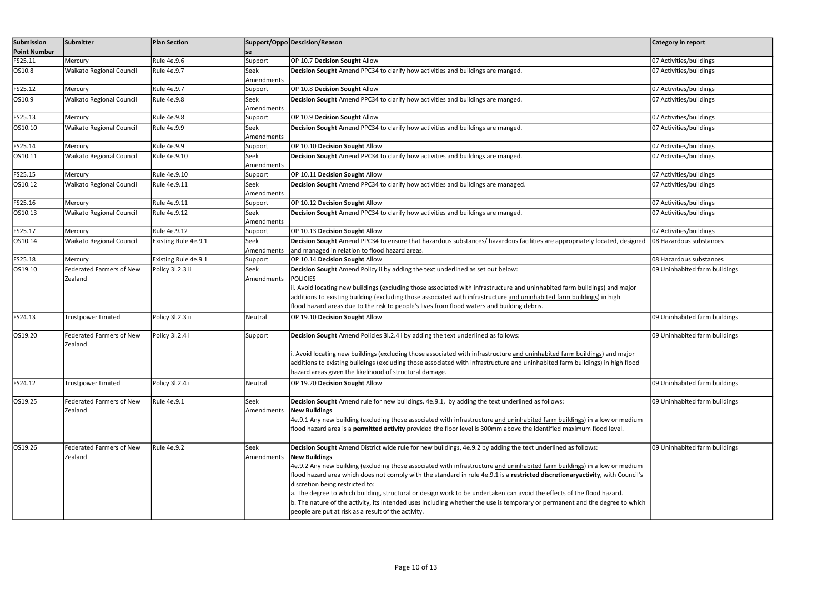| Submission          | Submitter                                  | <b>Plan Section</b>  |                    | Support/Oppo Descision/Reason                                                                                                                                                                                                                                                                                                                                                                                                                                                                                                                                                                                                                                                                                                                            | Category in report            |
|---------------------|--------------------------------------------|----------------------|--------------------|----------------------------------------------------------------------------------------------------------------------------------------------------------------------------------------------------------------------------------------------------------------------------------------------------------------------------------------------------------------------------------------------------------------------------------------------------------------------------------------------------------------------------------------------------------------------------------------------------------------------------------------------------------------------------------------------------------------------------------------------------------|-------------------------------|
| <b>Point Number</b> |                                            |                      | se                 |                                                                                                                                                                                                                                                                                                                                                                                                                                                                                                                                                                                                                                                                                                                                                          |                               |
| FS25.11             | Mercury                                    | Rule 4e.9.6          | Support            | OP 10.7 Decision Sought Allow                                                                                                                                                                                                                                                                                                                                                                                                                                                                                                                                                                                                                                                                                                                            | 07 Activities/buildings       |
| OS10.8              | <b>Waikato Regional Council</b>            | Rule 4e.9.7          | Seek<br>Amendments | Decision Sought Amend PPC34 to clarify how activities and buildings are manged.                                                                                                                                                                                                                                                                                                                                                                                                                                                                                                                                                                                                                                                                          | 07 Activities/buildings       |
| FS25.12             | Mercury                                    | Rule 4e.9.7          | Support            | OP 10.8 Decision Sought Allow                                                                                                                                                                                                                                                                                                                                                                                                                                                                                                                                                                                                                                                                                                                            | 07 Activities/buildings       |
| OS10.9              | Waikato Regional Council                   | <b>Rule 4e.9.8</b>   | Seek<br>Amendments | Decision Sought Amend PPC34 to clarify how activities and buildings are manged.                                                                                                                                                                                                                                                                                                                                                                                                                                                                                                                                                                                                                                                                          | 07 Activities/buildings       |
| FS25.13             | Mercury                                    | <b>Rule 4e.9.8</b>   | Support            | OP 10.9 Decision Sought Allow                                                                                                                                                                                                                                                                                                                                                                                                                                                                                                                                                                                                                                                                                                                            | 07 Activities/buildings       |
| OS10.10             | <b>Waikato Regional Council</b>            | Rule 4e.9.9          | Seek<br>Amendments | Decision Sought Amend PPC34 to clarify how activities and buildings are manged.                                                                                                                                                                                                                                                                                                                                                                                                                                                                                                                                                                                                                                                                          | 07 Activities/buildings       |
| FS25.14             | Mercury                                    | Rule 4e.9.9          | Support            | OP 10.10 Decision Sought Allow                                                                                                                                                                                                                                                                                                                                                                                                                                                                                                                                                                                                                                                                                                                           | 07 Activities/buildings       |
| OS10.11             | Waikato Regional Council                   | Rule 4e.9.10         | Seek<br>Amendments | Decision Sought Amend PPC34 to clarify how activities and buildings are manged.                                                                                                                                                                                                                                                                                                                                                                                                                                                                                                                                                                                                                                                                          | 07 Activities/buildings       |
| FS25.15             | Mercury                                    | Rule 4e.9.10         | Support            | OP 10.11 Decision Sought Allow                                                                                                                                                                                                                                                                                                                                                                                                                                                                                                                                                                                                                                                                                                                           | 07 Activities/buildings       |
| OS10.12             | <b>Waikato Regional Council</b>            | Rule 4e.9.11         | Seek<br>Amendments | Decision Sought Amend PPC34 to clarify how activities and buildings are managed.                                                                                                                                                                                                                                                                                                                                                                                                                                                                                                                                                                                                                                                                         | 07 Activities/buildings       |
| FS25.16             | Mercury                                    | Rule 4e.9.11         | Support            | OP 10.12 Decision Sought Allow                                                                                                                                                                                                                                                                                                                                                                                                                                                                                                                                                                                                                                                                                                                           | 07 Activities/buildings       |
| OS10.13             | <b>Waikato Regional Council</b>            | Rule 4e.9.12         | Seek<br>Amendments | Decision Sought Amend PPC34 to clarify how activities and buildings are manged.                                                                                                                                                                                                                                                                                                                                                                                                                                                                                                                                                                                                                                                                          | 07 Activities/buildings       |
| FS25.17             | Mercury                                    | Rule 4e.9.12         | Support            | OP 10.13 Decision Sought Allow                                                                                                                                                                                                                                                                                                                                                                                                                                                                                                                                                                                                                                                                                                                           | 07 Activities/buildings       |
| OS10.14             | Waikato Regional Council                   | Existing Rule 4e.9.1 | Seek<br>Amendments | Decision Sought Amend PPC34 to ensure that hazardous substances/ hazardous facilities are appropriately located, designed<br>and managed in relation to flood hazard areas.                                                                                                                                                                                                                                                                                                                                                                                                                                                                                                                                                                              | 08 Hazardous substances       |
| FS25.18             | Mercury                                    | Existing Rule 4e.9.1 | Support            | OP 10.14 Decision Sought Allow                                                                                                                                                                                                                                                                                                                                                                                                                                                                                                                                                                                                                                                                                                                           | 08 Hazardous substances       |
| OS19.10             | <b>Federated Farmers of New</b><br>Zealand | Policy 3l.2.3 ii     | Seek<br>Amendments | Decision Sought Amend Policy ii by adding the text underlined as set out below:<br><b>POLICIES</b><br>ii. Avoid locating new buildings (excluding those associated with infrastructure and uninhabited farm buildings) and major<br>additions to existing building (excluding those associated with infrastructure and uninhabited farm buildings) in high<br>flood hazard areas due to the risk to people's lives from flood waters and building debris.                                                                                                                                                                                                                                                                                                | 09 Uninhabited farm buildings |
| FS24.13             | Trustpower Limited                         | Policy 3l.2.3 ii     | Neutral            | OP 19.10 Decision Sought Allow                                                                                                                                                                                                                                                                                                                                                                                                                                                                                                                                                                                                                                                                                                                           | 09 Uninhabited farm buildings |
| OS19.20             | <b>Federated Farmers of New</b><br>Zealand | Policy 3l.2.4 i      | Support            | Decision Sought Amend Policies 31.2.4 i by adding the text underlined as follows:<br>i. Avoid locating new buildings (excluding those associated with infrastructure and uninhabited farm buildings) and major<br>additions to existing buildings (excluding those associated with infrastructure and uninhabited farm buildings) in high flood<br>hazard areas given the likelihood of structural damage.                                                                                                                                                                                                                                                                                                                                               | 09 Uninhabited farm buildings |
| FS24.12             | <b>Trustpower Limited</b>                  | Policy 3l.2.4 i      | Neutral            | OP 19.20 Decision Sought Allow                                                                                                                                                                                                                                                                                                                                                                                                                                                                                                                                                                                                                                                                                                                           | 09 Uninhabited farm buildings |
| OS19.25             | <b>Federated Farmers of New</b><br>Zealand | Rule 4e.9.1          | Seek<br>Amendments | Decision Sought Amend rule for new buildings, 4e.9.1, by adding the text underlined as follows:<br><b>New Buildings</b><br>4e.9.1 Any new building (excluding those associated with infrastructure and uninhabited farm buildings) in a low or medium<br>flood hazard area is a permitted activity provided the floor level is 300mm above the identified maximum flood level.                                                                                                                                                                                                                                                                                                                                                                           | 09 Uninhabited farm buildings |
| OS19.26             | <b>Federated Farmers of New</b><br>Zealand | Rule 4e.9.2          | Seek<br>Amendments | Decision Sought Amend District wide rule for new buildings, 4e.9.2 by adding the text underlined as follows:<br><b>New Buildings</b><br>4e.9.2 Any new building (excluding those associated with infrastructure and uninhabited farm buildings) in a low or medium<br>flood hazard area which does not comply with the standard in rule 4e.9.1 is a restricted discretionaryactivity, with Council's<br>discretion being restricted to:<br>a. The degree to which building, structural or design work to be undertaken can avoid the effects of the flood hazard.<br>b. The nature of the activity, its intended uses including whether the use is temporary or permanent and the degree to which<br>people are put at risk as a result of the activity. | 09 Uninhabited farm buildings |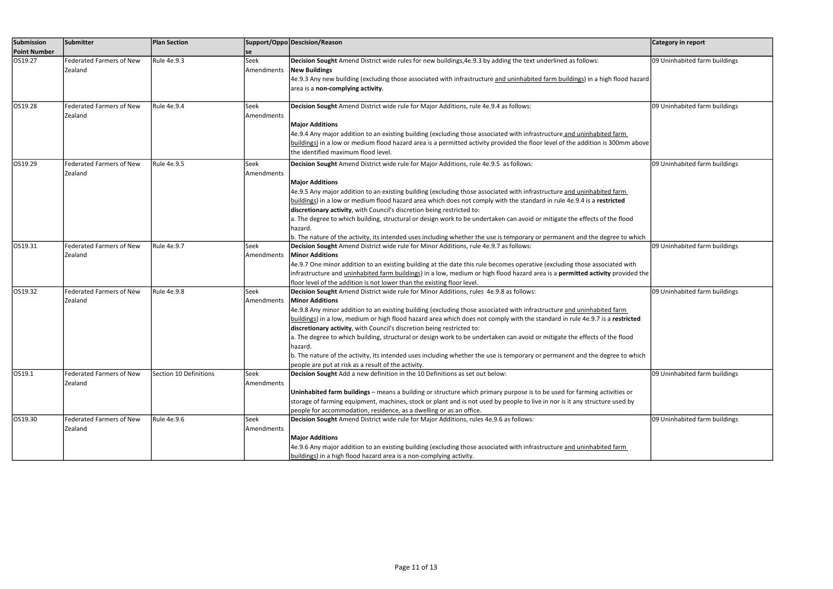| Submission<br><b>Point Number</b> | Submitter                                  | <b>Plan Section</b>    | se                        | Support/Oppo Descision/Reason                                                                                                                                                                                                                                                                                                                                                                                                                                                                                                                                                                                                                                                                                                                                                        | Category in report            |
|-----------------------------------|--------------------------------------------|------------------------|---------------------------|--------------------------------------------------------------------------------------------------------------------------------------------------------------------------------------------------------------------------------------------------------------------------------------------------------------------------------------------------------------------------------------------------------------------------------------------------------------------------------------------------------------------------------------------------------------------------------------------------------------------------------------------------------------------------------------------------------------------------------------------------------------------------------------|-------------------------------|
| OS19.27                           | <b>Federated Farmers of New</b><br>Zealand | Rule 4e.9.3            | Seek<br>Amendments        | Decision Sought Amend District wide rules for new buildings, 4e.9.3 by adding the text underlined as follows:<br><b>New Buildings</b><br>4e.9.3 Any new building (excluding those associated with infrastructure and uninhabited farm buildings) in a high flood hazard<br>area is a non-complying activity.                                                                                                                                                                                                                                                                                                                                                                                                                                                                         | 09 Uninhabited farm buildings |
| OS19.28                           | <b>Federated Farmers of New</b><br>Zealand | Rule 4e.9.4            | Seek<br><b>Amendments</b> | Decision Sought Amend District wide rule for Major Additions, rule 4e.9.4 as follows:<br><b>Major Additions</b><br>4e.9.4 Any major addition to an existing building (excluding those associated with infrastructure and uninhabited farm<br>buildings) in a low or medium flood hazard area is a permitted activity provided the floor level of the addition is 300mm above<br>the identified maximum flood level.                                                                                                                                                                                                                                                                                                                                                                  | 09 Uninhabited farm buildings |
| OS19.29                           | <b>Federated Farmers of New</b><br>Zealand | Rule 4e.9.5            | Seek<br>Amendments        | Decision Sought Amend District wide rule for Major Additions, rule 4e.9.5 as follows:<br><b>Major Additions</b><br>4e.9.5 Any major addition to an existing building (excluding those associated with infrastructure and uninhabited farm<br>buildings) in a low or medium flood hazard area which does not comply with the standard in rule 4e.9.4 is a restricted<br>discretionary activity, with Council's discretion being restricted to:<br>a. The degree to which building, structural or design work to be undertaken can avoid or mitigate the effects of the flood<br>hazard.<br>b. The nature of the activity, its intended uses including whether the use is temporary or permanent and the degree to which                                                               | 09 Uninhabited farm buildings |
| OS19.31                           | <b>Federated Farmers of New</b><br>Zealand | Rule 4e.9.7            | Seek<br>Amendments        | Decision Sought Amend District wide rule for Minor Additions, rule 4e.9.7 as follows:<br><b>Minor Additions</b><br>4e.9.7 One minor addition to an existing building at the date this rule becomes operative (excluding those associated with<br>infrastructure and <i>uninhabited farm buildings</i> ) in a low, medium or high flood hazard area is a <b>permitted activity</b> provided the<br>floor level of the addition is not lower than the existing floor level.                                                                                                                                                                                                                                                                                                            | 09 Uninhabited farm buildings |
| OS19.32                           | <b>Federated Farmers of New</b><br>Zealand | Rule 4e.9.8            | Seek<br>Amendments        | Decision Sought Amend District wide rule for Minor Additions, rules 4e.9.8 as follows:<br><b>Minor Additions</b><br>4e.9.8 Any minor addition to an existing building (excluding those associated with infrastructure and uninhabited farm<br>buildings) in a low, medium or high flood hazard area which does not comply with the standard in rule 4e.9.7 is a restricted<br>discretionary activity, with Council's discretion being restricted to:<br>a. The degree to which building, structural or design work to be undertaken can avoid or mitigate the effects of the flood<br>hazard.<br>b. The nature of the activity, its intended uses including whether the use is temporary or permanent and the degree to which<br>people are put at risk as a result of the activity. | 09 Uninhabited farm buildings |
| OS19.1                            | <b>Federated Farmers of New</b><br>Zealand | Section 10 Definitions | Seek<br>Amendments        | Decision Sought Add a new definition in the 10 Definitions as set out below:<br>Uninhabited farm buildings - means a building or structure which primary purpose is to be used for farming activities or<br>storage of farming equipment, machines, stock or plant and is not used by people to live in nor is it any structure used by<br>people for accommodation, residence, as a dwelling or as an office.                                                                                                                                                                                                                                                                                                                                                                       | 09 Uninhabited farm buildings |
| OS19.30                           | <b>Federated Farmers of New</b><br>Zealand | Rule 4e.9.6            | Seek<br>Amendments        | Decision Sought Amend District wide rule for Major Additions, rules 4e.9.6 as follows:<br><b>Major Additions</b><br>4e.9.6 Any major addition to an existing building (excluding those associated with infrastructure and uninhabited farm<br>buildings) in a high flood hazard area is a non-complying activity.                                                                                                                                                                                                                                                                                                                                                                                                                                                                    | 09 Uninhabited farm buildings |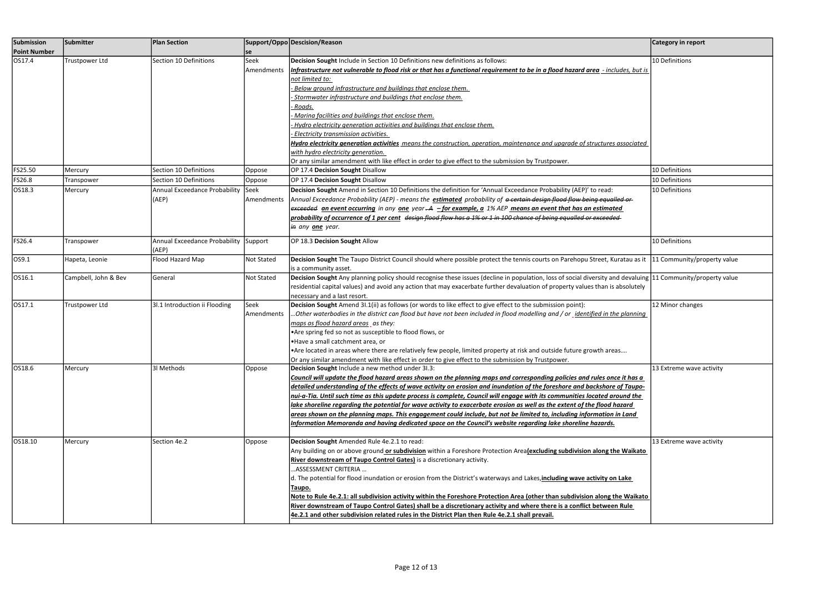| Submission          | Submitter            | <b>Plan Section</b>                   |             | Support/Oppo Descision/Reason                                                                                                                                | Category in report          |
|---------------------|----------------------|---------------------------------------|-------------|--------------------------------------------------------------------------------------------------------------------------------------------------------------|-----------------------------|
| <b>Point Number</b> |                      |                                       | se          |                                                                                                                                                              |                             |
| OS17.4              | Trustpower Ltd       | Section 10 Definitions                | Seek        | Decision Sought Include in Section 10 Definitions new definitions as follows:                                                                                | 10 Definitions              |
|                     |                      |                                       | Amendments  | Infrastructure not vulnerable to flood risk or that has a functional requirement to be in a flood hazard area -includes, but is                              |                             |
|                     |                      |                                       |             | not limited to:                                                                                                                                              |                             |
|                     |                      |                                       |             | Below ground infrastructure and buildings that enclose them.                                                                                                 |                             |
|                     |                      |                                       |             | Stormwater infrastructure and buildings that enclose them.                                                                                                   |                             |
|                     |                      |                                       |             | - Roads.                                                                                                                                                     |                             |
|                     |                      |                                       |             | Marina facilities and buildings that enclose them.                                                                                                           |                             |
|                     |                      |                                       |             | Hydro electricity generation activities and buildings that enclose them.                                                                                     |                             |
|                     |                      |                                       |             | Electricity transmission activities.                                                                                                                         |                             |
|                     |                      |                                       |             | Hydro electricity generation activities means the construction, operation, maintenance and upgrade of structures associated                                  |                             |
|                     |                      |                                       |             | with hydro electricity generation.                                                                                                                           |                             |
|                     |                      |                                       |             | Or any similar amendment with like effect in order to give effect to the submission by Trustpower.                                                           |                             |
| FS25.50             | Mercury              | Section 10 Definitions                | Oppose      | OP 17.4 Decision Sought Disallow                                                                                                                             | 10 Definitions              |
| FS26.8              | Transpower           | Section 10 Definitions                | Oppose      | OP 17.4 Decision Sought Disallow                                                                                                                             | 10 Definitions              |
| OS18.3              | Mercury              | Annual Exceedance Probability         | <b>Seek</b> | Decision Sought Amend in Section 10 Definitions the definition for 'Annual Exceedance Probability (AEP)' to read:                                            | 10 Definitions              |
|                     |                      | (AEP)                                 | Amendments  | Annual Exceedance Probability (AEP) - means the estimated probability of a certain design flood flow being equalled or                                       |                             |
|                     |                      |                                       |             | exceeded an event occurring in any one year -A -for example, a 1% AEP means an event that has an estimated                                                   |                             |
|                     |                      |                                       |             | probability of occurrence of 1 per cent design flood flow has a 1% or 1 in 100 chance of being equalled or exceeded                                          |                             |
|                     |                      |                                       |             | i <del>n</del> any <u><b>one</b> year.</u>                                                                                                                   |                             |
|                     |                      |                                       |             |                                                                                                                                                              |                             |
| FS26.4              | Transpower           | Annual Exceedance Probability Support |             | OP 18.3 Decision Sought Allow                                                                                                                                | 10 Definitions              |
|                     |                      | (AEP)                                 |             |                                                                                                                                                              |                             |
| OS9.1               | Hapeta, Leonie       | Flood Hazard Map                      | Not Stated  | Decision Sought The Taupo District Council should where possible protect the tennis courts on Parehopu Street, Kuratau as it                                 | 11 Community/property value |
|                     |                      |                                       |             | is a community asset.                                                                                                                                        |                             |
| OS16.1              | Campbell, John & Bev | General                               | Not Stated  | Decision Sought Any planning policy should recognise these issues (decline in population, loss of social diversity and devaluing 11 Community/property value |                             |
|                     |                      |                                       |             | residential capital values) and avoid any action that may exacerbate further devaluation of property values than is absolutely                               |                             |
|                     |                      |                                       |             | necessary and a last resort.                                                                                                                                 |                             |
| OS17.1              | Trustpower Ltd       | 3I.1 Introduction ii Flooding         | Seek        | Decision Sought Amend 31.1(ii) as follows (or words to like effect to give effect to the submission point):                                                  | 12 Minor changes            |
|                     |                      |                                       | Amendments  | . Other waterbodies in the district can flood but have not been included in flood modelling and / or $\,$ identified in the planning                         |                             |
|                     |                      |                                       |             | maps as flood hazard areas _ as they:                                                                                                                        |                             |
|                     |                      |                                       |             | • Are spring fed so not as susceptible to flood flows, or                                                                                                    |                             |
|                     |                      |                                       |             | .Have a small catchment area, or                                                                                                                             |                             |
|                     |                      |                                       |             | • Are located in areas where there are relatively few people, limited property at risk and outside future growth areas                                       |                             |
|                     |                      |                                       |             | Or any similar amendment with like effect in order to give effect to the submission by Trustpower.                                                           |                             |
| OS18.6              | Mercury              | 31 Methods                            | Oppose      | Decision Sought Include a new method under 31.3:                                                                                                             | 13 Extreme wave activity    |
|                     |                      |                                       |             | Council will update the flood hazard areas shown on the planning maps and corresponding policies and rules once it has a                                     |                             |
|                     |                      |                                       |             | detailed understanding of the effects of wave activity on erosion and inundation of the foreshore and backshore of Taupo-                                    |                             |
|                     |                      |                                       |             | nui-a-Tia. Until such time as this update process is complete, Council will engage with its communities located around the                                   |                             |
|                     |                      |                                       |             | lake shoreline regarding the potential for wave activity to exacerbate erosion as well as the extent of the flood hazard                                     |                             |
|                     |                      |                                       |             | greas shown on the planning maps. This engagement could include, but not be limited to, including information in Land                                        |                             |
|                     |                      |                                       |             | Information Memoranda and having dedicated space on the Council's website regarding lake shoreline hazards.                                                  |                             |
|                     |                      |                                       |             |                                                                                                                                                              |                             |
| OS18.10             | Mercury              | Section 4e.2                          | Oppose      | Decision Sought Amended Rule 4e.2.1 to read:                                                                                                                 | 13 Extreme wave activity    |
|                     |                      |                                       |             | Any building on or above ground or subdivision within a Foreshore Protection Area(excluding subdivision along the Waikato                                    |                             |
|                     |                      |                                       |             | River downstream of Taupo Control Gates) is a discretionary activity.                                                                                        |                             |
|                     |                      |                                       |             | ASSESSMENT CRITERIA                                                                                                                                          |                             |
|                     |                      |                                       |             | d. The potential for flood inundation or erosion from the District's waterways and Lakes, including wave activity on Lake                                    |                             |
|                     |                      |                                       |             | Taupo.                                                                                                                                                       |                             |
|                     |                      |                                       |             | Note to Rule 4e.2.1: all subdivision activity within the Foreshore Protection Area (other than subdivision along the Waikato                                 |                             |
|                     |                      |                                       |             | River downstream of Taupo Control Gates) shall be a discretionary activity and where there is a conflict between Rule                                        |                             |
|                     |                      |                                       |             | 4e.2.1 and other subdivision related rules in the District Plan then Rule 4e.2.1 shall prevail.                                                              |                             |
|                     |                      |                                       |             |                                                                                                                                                              |                             |